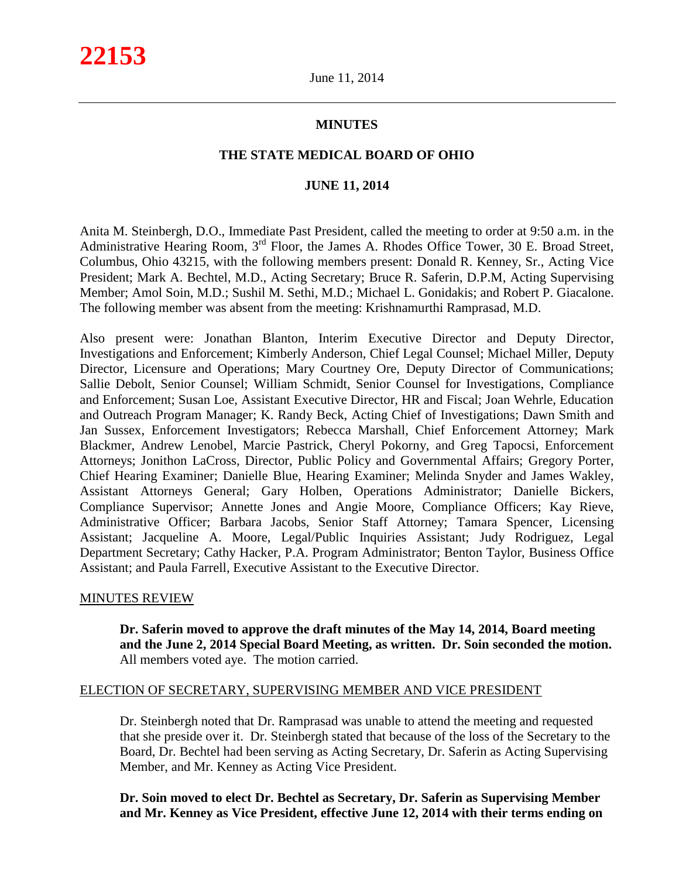# **MINUTES**

# **THE STATE MEDICAL BOARD OF OHIO**

# **JUNE 11, 2014**

Anita M. Steinbergh, D.O., Immediate Past President, called the meeting to order at 9:50 a.m. in the Administrative Hearing Room, 3<sup>rd</sup> Floor, the James A. Rhodes Office Tower, 30 E. Broad Street, Columbus, Ohio 43215, with the following members present: Donald R. Kenney, Sr., Acting Vice President; Mark A. Bechtel, M.D., Acting Secretary; Bruce R. Saferin, D.P.M, Acting Supervising Member; Amol Soin, M.D.; Sushil M. Sethi, M.D.; Michael L. Gonidakis; and Robert P. Giacalone. The following member was absent from the meeting: Krishnamurthi Ramprasad, M.D.

Also present were: Jonathan Blanton, Interim Executive Director and Deputy Director, Investigations and Enforcement; Kimberly Anderson, Chief Legal Counsel; Michael Miller, Deputy Director, Licensure and Operations; Mary Courtney Ore, Deputy Director of Communications; Sallie Debolt, Senior Counsel; William Schmidt, Senior Counsel for Investigations, Compliance and Enforcement; Susan Loe, Assistant Executive Director, HR and Fiscal; Joan Wehrle, Education and Outreach Program Manager; K. Randy Beck, Acting Chief of Investigations; Dawn Smith and Jan Sussex, Enforcement Investigators; Rebecca Marshall, Chief Enforcement Attorney; Mark Blackmer, Andrew Lenobel, Marcie Pastrick, Cheryl Pokorny, and Greg Tapocsi, Enforcement Attorneys; Jonithon LaCross, Director, Public Policy and Governmental Affairs; Gregory Porter, Chief Hearing Examiner; Danielle Blue, Hearing Examiner; Melinda Snyder and James Wakley, Assistant Attorneys General; Gary Holben, Operations Administrator; Danielle Bickers, Compliance Supervisor; Annette Jones and Angie Moore, Compliance Officers; Kay Rieve, Administrative Officer; Barbara Jacobs, Senior Staff Attorney; Tamara Spencer, Licensing Assistant; Jacqueline A. Moore, Legal/Public Inquiries Assistant; Judy Rodriguez, Legal Department Secretary; Cathy Hacker, P.A. Program Administrator; Benton Taylor, Business Office Assistant; and Paula Farrell, Executive Assistant to the Executive Director.

# MINUTES REVIEW

**Dr. Saferin moved to approve the draft minutes of the May 14, 2014, Board meeting and the June 2, 2014 Special Board Meeting, as written. Dr. Soin seconded the motion.** All members voted aye. The motion carried.

# ELECTION OF SECRETARY, SUPERVISING MEMBER AND VICE PRESIDENT

Dr. Steinbergh noted that Dr. Ramprasad was unable to attend the meeting and requested that she preside over it. Dr. Steinbergh stated that because of the loss of the Secretary to the Board, Dr. Bechtel had been serving as Acting Secretary, Dr. Saferin as Acting Supervising Member, and Mr. Kenney as Acting Vice President.

**Dr. Soin moved to elect Dr. Bechtel as Secretary, Dr. Saferin as Supervising Member and Mr. Kenney as Vice President, effective June 12, 2014 with their terms ending on**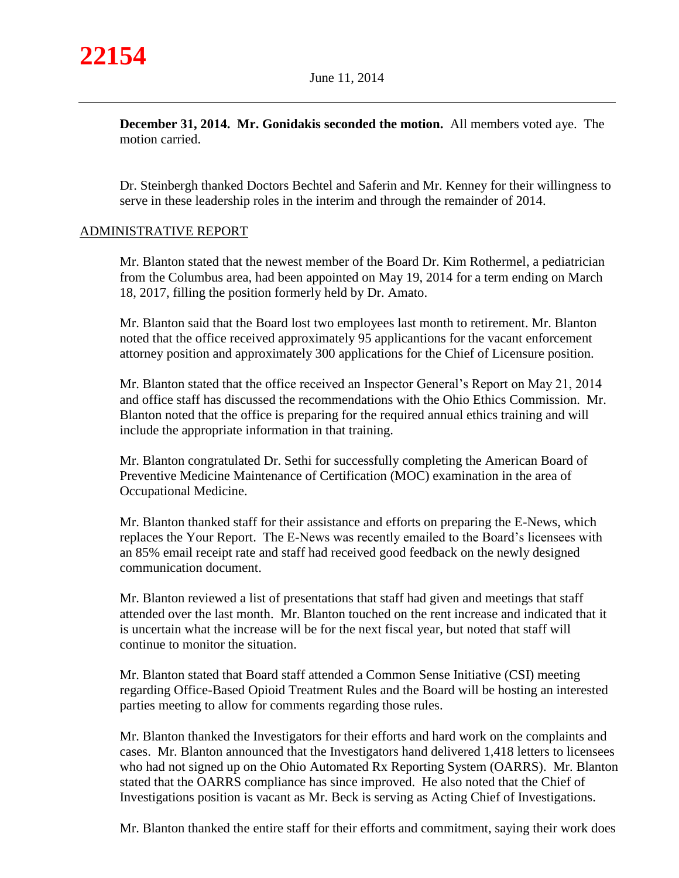**December 31, 2014. Mr. Gonidakis seconded the motion.** All members voted aye. The motion carried.

Dr. Steinbergh thanked Doctors Bechtel and Saferin and Mr. Kenney for their willingness to serve in these leadership roles in the interim and through the remainder of 2014.

# ADMINISTRATIVE REPORT

Mr. Blanton stated that the newest member of the Board Dr. Kim Rothermel, a pediatrician from the Columbus area, had been appointed on May 19, 2014 for a term ending on March 18, 2017, filling the position formerly held by Dr. Amato.

Mr. Blanton said that the Board lost two employees last month to retirement. Mr. Blanton noted that the office received approximately 95 applicantions for the vacant enforcement attorney position and approximately 300 applications for the Chief of Licensure position.

Mr. Blanton stated that the office received an Inspector General's Report on May 21, 2014 and office staff has discussed the recommendations with the Ohio Ethics Commission. Mr. Blanton noted that the office is preparing for the required annual ethics training and will include the appropriate information in that training.

Mr. Blanton congratulated Dr. Sethi for successfully completing the American Board of Preventive Medicine Maintenance of Certification (MOC) examination in the area of Occupational Medicine.

Mr. Blanton thanked staff for their assistance and efforts on preparing the E-News, which replaces the Your Report. The E-News was recently emailed to the Board's licensees with an 85% email receipt rate and staff had received good feedback on the newly designed communication document.

Mr. Blanton reviewed a list of presentations that staff had given and meetings that staff attended over the last month. Mr. Blanton touched on the rent increase and indicated that it is uncertain what the increase will be for the next fiscal year, but noted that staff will continue to monitor the situation.

Mr. Blanton stated that Board staff attended a Common Sense Initiative (CSI) meeting regarding Office-Based Opioid Treatment Rules and the Board will be hosting an interested parties meeting to allow for comments regarding those rules.

Mr. Blanton thanked the Investigators for their efforts and hard work on the complaints and cases. Mr. Blanton announced that the Investigators hand delivered 1,418 letters to licensees who had not signed up on the Ohio Automated Rx Reporting System (OARRS). Mr. Blanton stated that the OARRS compliance has since improved. He also noted that the Chief of Investigations position is vacant as Mr. Beck is serving as Acting Chief of Investigations.

Mr. Blanton thanked the entire staff for their efforts and commitment, saying their work does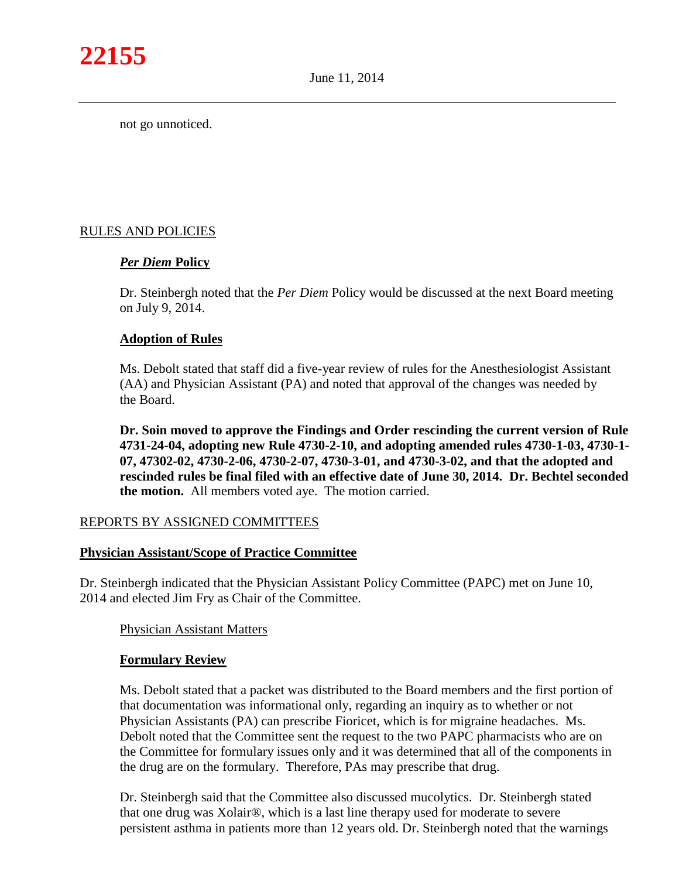not go unnoticed.

# RULES AND POLICIES

# *Per Diem* **Policy**

Dr. Steinbergh noted that the *Per Diem* Policy would be discussed at the next Board meeting on July 9, 2014.

# **Adoption of Rules**

Ms. Debolt stated that staff did a five-year review of rules for the Anesthesiologist Assistant (AA) and Physician Assistant (PA) and noted that approval of the changes was needed by the Board.

**Dr. Soin moved to approve the Findings and Order rescinding the current version of Rule 4731-24-04, adopting new Rule 4730-2-10, and adopting amended rules 4730-1-03, 4730-1- 07, 47302-02, 4730-2-06, 4730-2-07, 4730-3-01, and 4730-3-02, and that the adopted and rescinded rules be final filed with an effective date of June 30, 2014. Dr. Bechtel seconded the motion.** All members voted aye. The motion carried.

# REPORTS BY ASSIGNED COMMITTEES

#### **Physician Assistant/Scope of Practice Committee**

Dr. Steinbergh indicated that the Physician Assistant Policy Committee (PAPC) met on June 10, 2014 and elected Jim Fry as Chair of the Committee.

#### Physician Assistant Matters

#### **Formulary Review**

Ms. Debolt stated that a packet was distributed to the Board members and the first portion of that documentation was informational only, regarding an inquiry as to whether or not Physician Assistants (PA) can prescribe Fioricet, which is for migraine headaches. Ms. Debolt noted that the Committee sent the request to the two PAPC pharmacists who are on the Committee for formulary issues only and it was determined that all of the components in the drug are on the formulary. Therefore, PAs may prescribe that drug.

Dr. Steinbergh said that the Committee also discussed mucolytics. Dr. Steinbergh stated that one drug was Xolair®, which is a last line therapy used for moderate to severe persistent asthma in patients more than 12 years old. Dr. Steinbergh noted that the warnings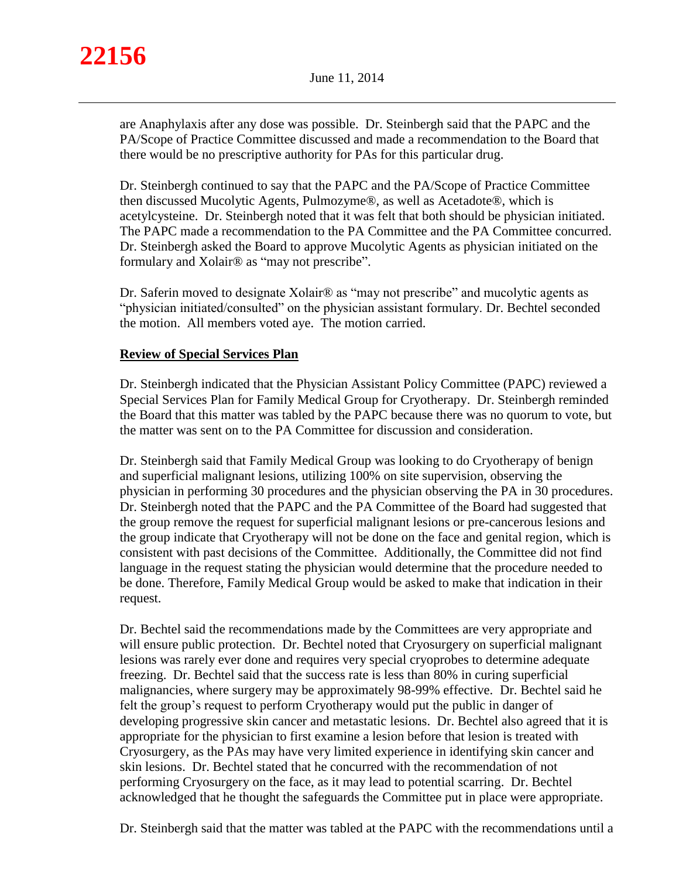

are Anaphylaxis after any dose was possible. Dr. Steinbergh said that the PAPC and the PA/Scope of Practice Committee discussed and made a recommendation to the Board that there would be no prescriptive authority for PAs for this particular drug.

Dr. Steinbergh continued to say that the PAPC and the PA/Scope of Practice Committee then discussed Mucolytic Agents, Pulmozyme®, as well as Acetadote®, which is acetylcysteine. Dr. Steinbergh noted that it was felt that both should be physician initiated. The PAPC made a recommendation to the PA Committee and the PA Committee concurred. Dr. Steinbergh asked the Board to approve Mucolytic Agents as physician initiated on the formulary and Xolair® as "may not prescribe".

Dr. Saferin moved to designate Xolair® as "may not prescribe" and mucolytic agents as "physician initiated/consulted" on the physician assistant formulary. Dr. Bechtel seconded the motion. All members voted aye. The motion carried.

# **Review of Special Services Plan**

Dr. Steinbergh indicated that the Physician Assistant Policy Committee (PAPC) reviewed a Special Services Plan for Family Medical Group for Cryotherapy. Dr. Steinbergh reminded the Board that this matter was tabled by the PAPC because there was no quorum to vote, but the matter was sent on to the PA Committee for discussion and consideration.

Dr. Steinbergh said that Family Medical Group was looking to do Cryotherapy of benign and superficial malignant lesions, utilizing 100% on site supervision, observing the physician in performing 30 procedures and the physician observing the PA in 30 procedures. Dr. Steinbergh noted that the PAPC and the PA Committee of the Board had suggested that the group remove the request for superficial malignant lesions or pre-cancerous lesions and the group indicate that Cryotherapy will not be done on the face and genital region, which is consistent with past decisions of the Committee. Additionally, the Committee did not find language in the request stating the physician would determine that the procedure needed to be done. Therefore, Family Medical Group would be asked to make that indication in their request.

Dr. Bechtel said the recommendations made by the Committees are very appropriate and will ensure public protection. Dr. Bechtel noted that Cryosurgery on superficial malignant lesions was rarely ever done and requires very special cryoprobes to determine adequate freezing. Dr. Bechtel said that the success rate is less than 80% in curing superficial malignancies, where surgery may be approximately 98-99% effective. Dr. Bechtel said he felt the group's request to perform Cryotherapy would put the public in danger of developing progressive skin cancer and metastatic lesions. Dr. Bechtel also agreed that it is appropriate for the physician to first examine a lesion before that lesion is treated with Cryosurgery, as the PAs may have very limited experience in identifying skin cancer and skin lesions. Dr. Bechtel stated that he concurred with the recommendation of not performing Cryosurgery on the face, as it may lead to potential scarring. Dr. Bechtel acknowledged that he thought the safeguards the Committee put in place were appropriate.

Dr. Steinbergh said that the matter was tabled at the PAPC with the recommendations until a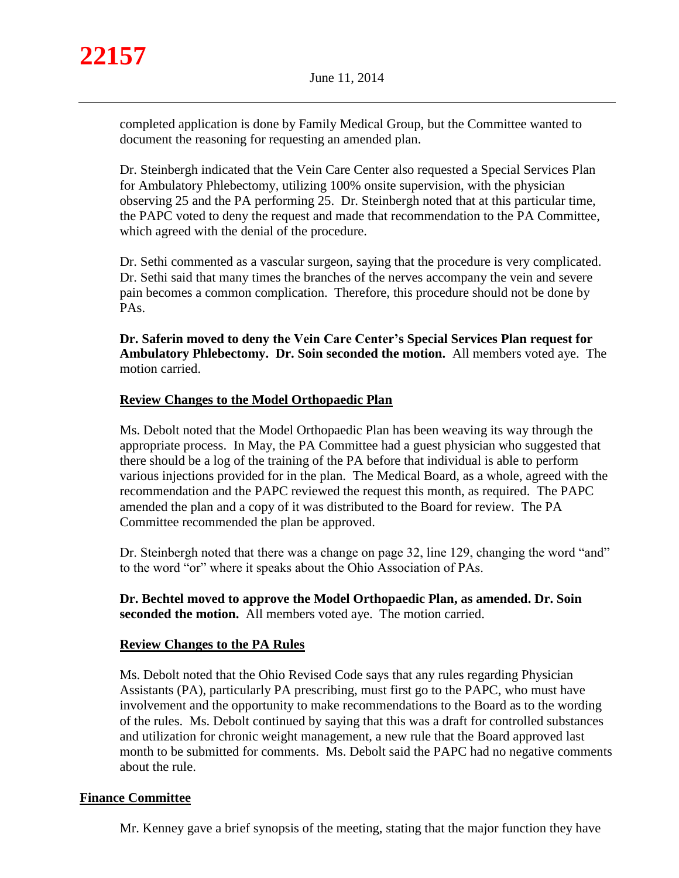

completed application is done by Family Medical Group, but the Committee wanted to document the reasoning for requesting an amended plan.

Dr. Steinbergh indicated that the Vein Care Center also requested a Special Services Plan for Ambulatory Phlebectomy, utilizing 100% onsite supervision, with the physician observing 25 and the PA performing 25. Dr. Steinbergh noted that at this particular time, the PAPC voted to deny the request and made that recommendation to the PA Committee, which agreed with the denial of the procedure.

Dr. Sethi commented as a vascular surgeon, saying that the procedure is very complicated. Dr. Sethi said that many times the branches of the nerves accompany the vein and severe pain becomes a common complication. Therefore, this procedure should not be done by PAs.

**Dr. Saferin moved to deny the Vein Care Center's Special Services Plan request for Ambulatory Phlebectomy. Dr. Soin seconded the motion.** All members voted aye. The motion carried.

# **Review Changes to the Model Orthopaedic Plan**

Ms. Debolt noted that the Model Orthopaedic Plan has been weaving its way through the appropriate process. In May, the PA Committee had a guest physician who suggested that there should be a log of the training of the PA before that individual is able to perform various injections provided for in the plan. The Medical Board, as a whole, agreed with the recommendation and the PAPC reviewed the request this month, as required. The PAPC amended the plan and a copy of it was distributed to the Board for review. The PA Committee recommended the plan be approved.

Dr. Steinbergh noted that there was a change on page 32, line 129, changing the word "and" to the word "or" where it speaks about the Ohio Association of PAs.

**Dr. Bechtel moved to approve the Model Orthopaedic Plan, as amended. Dr. Soin seconded the motion.** All members voted aye. The motion carried.

# **Review Changes to the PA Rules**

Ms. Debolt noted that the Ohio Revised Code says that any rules regarding Physician Assistants (PA), particularly PA prescribing, must first go to the PAPC, who must have involvement and the opportunity to make recommendations to the Board as to the wording of the rules. Ms. Debolt continued by saying that this was a draft for controlled substances and utilization for chronic weight management, a new rule that the Board approved last month to be submitted for comments. Ms. Debolt said the PAPC had no negative comments about the rule.

# **Finance Committee**

Mr. Kenney gave a brief synopsis of the meeting, stating that the major function they have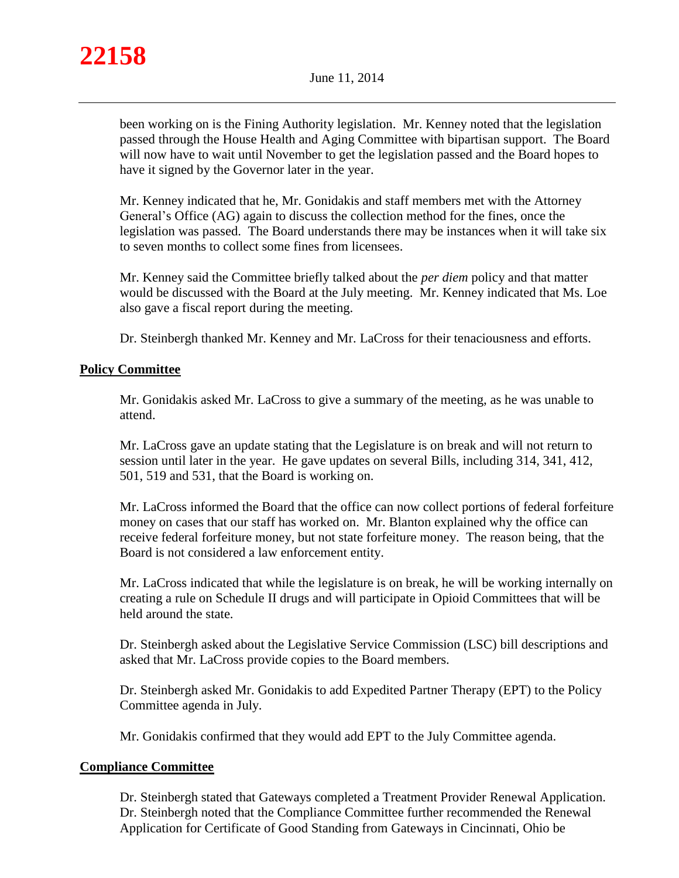

been working on is the Fining Authority legislation. Mr. Kenney noted that the legislation passed through the House Health and Aging Committee with bipartisan support. The Board will now have to wait until November to get the legislation passed and the Board hopes to have it signed by the Governor later in the year.

Mr. Kenney indicated that he, Mr. Gonidakis and staff members met with the Attorney General's Office (AG) again to discuss the collection method for the fines, once the legislation was passed. The Board understands there may be instances when it will take six to seven months to collect some fines from licensees.

Mr. Kenney said the Committee briefly talked about the *per diem* policy and that matter would be discussed with the Board at the July meeting. Mr. Kenney indicated that Ms. Loe also gave a fiscal report during the meeting.

Dr. Steinbergh thanked Mr. Kenney and Mr. LaCross for their tenaciousness and efforts.

# **Policy Committee**

Mr. Gonidakis asked Mr. LaCross to give a summary of the meeting, as he was unable to attend.

Mr. LaCross gave an update stating that the Legislature is on break and will not return to session until later in the year. He gave updates on several Bills, including 314, 341, 412, 501, 519 and 531, that the Board is working on.

Mr. LaCross informed the Board that the office can now collect portions of federal forfeiture money on cases that our staff has worked on. Mr. Blanton explained why the office can receive federal forfeiture money, but not state forfeiture money. The reason being, that the Board is not considered a law enforcement entity.

Mr. LaCross indicated that while the legislature is on break, he will be working internally on creating a rule on Schedule II drugs and will participate in Opioid Committees that will be held around the state.

Dr. Steinbergh asked about the Legislative Service Commission (LSC) bill descriptions and asked that Mr. LaCross provide copies to the Board members.

Dr. Steinbergh asked Mr. Gonidakis to add Expedited Partner Therapy (EPT) to the Policy Committee agenda in July.

Mr. Gonidakis confirmed that they would add EPT to the July Committee agenda.

# **Compliance Committee**

Dr. Steinbergh stated that Gateways completed a Treatment Provider Renewal Application. Dr. Steinbergh noted that the Compliance Committee further recommended the Renewal Application for Certificate of Good Standing from Gateways in Cincinnati, Ohio be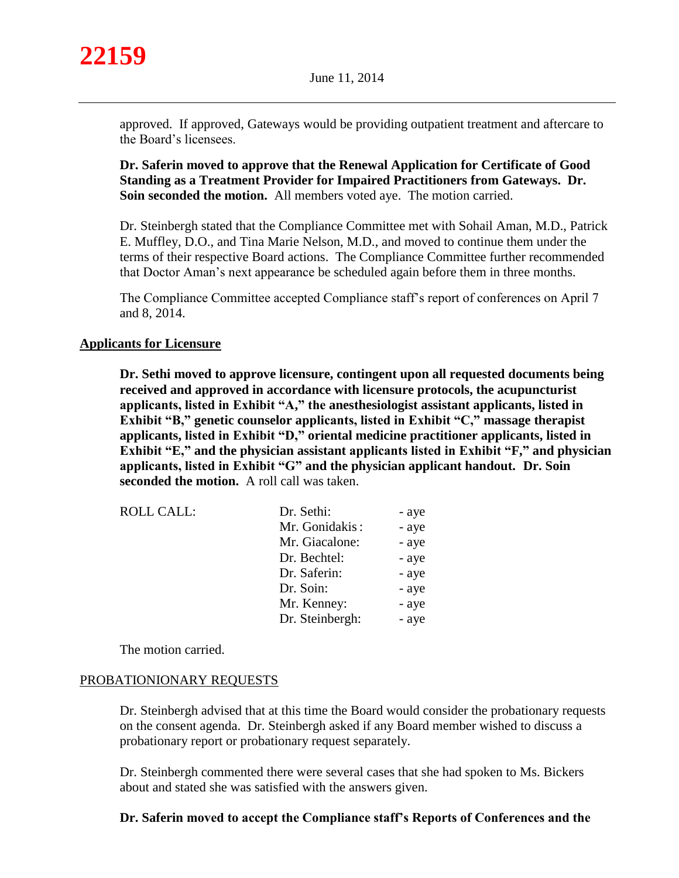

approved. If approved, Gateways would be providing outpatient treatment and aftercare to the Board's licensees.

**Dr. Saferin moved to approve that the Renewal Application for Certificate of Good Standing as a Treatment Provider for Impaired Practitioners from Gateways. Dr. Soin seconded the motion.** All members voted aye. The motion carried.

Dr. Steinbergh stated that the Compliance Committee met with Sohail Aman, M.D., Patrick E. Muffley, D.O., and Tina Marie Nelson, M.D., and moved to continue them under the terms of their respective Board actions. The Compliance Committee further recommended that Doctor Aman's next appearance be scheduled again before them in three months.

The Compliance Committee accepted Compliance staff's report of conferences on April 7 and 8, 2014.

# **Applicants for Licensure**

**Dr. Sethi moved to approve licensure, contingent upon all requested documents being received and approved in accordance with licensure protocols, the acupuncturist applicants, listed in Exhibit "A," the anesthesiologist assistant applicants, listed in Exhibit "B," genetic counselor applicants, listed in Exhibit "C," massage therapist applicants, listed in Exhibit "D," oriental medicine practitioner applicants, listed in Exhibit "E," and the physician assistant applicants listed in Exhibit "F," and physician applicants, listed in Exhibit "G" and the physician applicant handout. Dr. Soin seconded the motion.** A roll call was taken.

| <b>ROLL CALL:</b> | Dr. Sethi:      | - aye |
|-------------------|-----------------|-------|
|                   | Mr. Gonidakis:  | - aye |
|                   | Mr. Giacalone:  | - aye |
|                   | Dr. Bechtel:    | - aye |
|                   | Dr. Saferin:    | - aye |
|                   | Dr. Soin:       | - aye |
|                   | Mr. Kenney:     | - aye |
|                   | Dr. Steinbergh: | - aye |

The motion carried.

#### PROBATIONIONARY REQUESTS

Dr. Steinbergh advised that at this time the Board would consider the probationary requests on the consent agenda. Dr. Steinbergh asked if any Board member wished to discuss a probationary report or probationary request separately.

Dr. Steinbergh commented there were several cases that she had spoken to Ms. Bickers about and stated she was satisfied with the answers given.

# **Dr. Saferin moved to accept the Compliance staff's Reports of Conferences and the**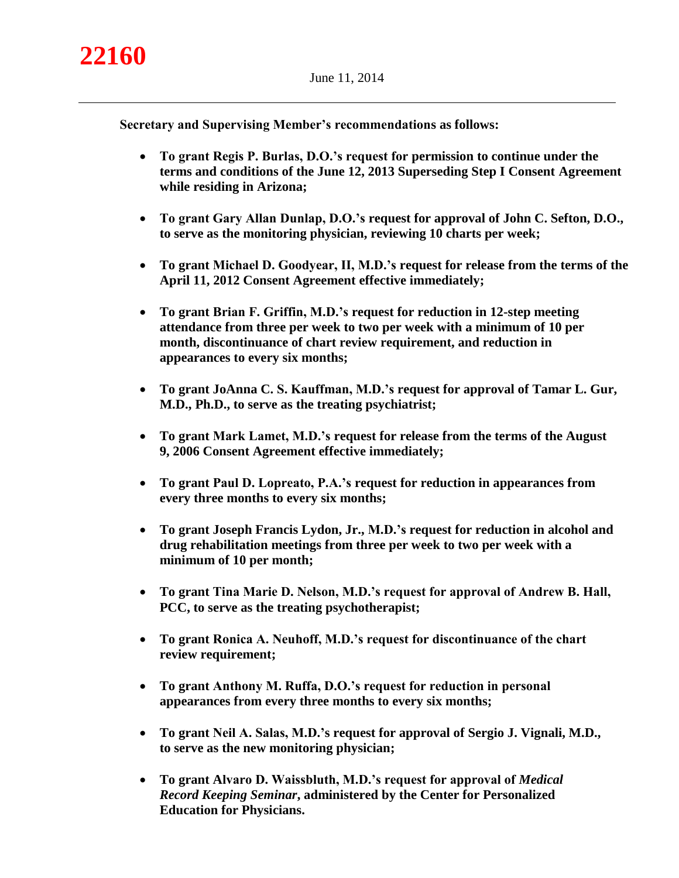**Secretary and Supervising Member's recommendations as follows:** 

- **To grant Regis P. Burlas, D.O.'s request for permission to continue under the terms and conditions of the June 12, 2013 Superseding Step I Consent Agreement while residing in Arizona;**
- **To grant Gary Allan Dunlap, D.O.'s request for approval of John C. Sefton, D.O., to serve as the monitoring physician, reviewing 10 charts per week;**
- **To grant Michael D. Goodyear, II, M.D.'s request for release from the terms of the April 11, 2012 Consent Agreement effective immediately;**
- **To grant Brian F. Griffin, M.D.'s request for reduction in 12-step meeting attendance from three per week to two per week with a minimum of 10 per month, discontinuance of chart review requirement, and reduction in appearances to every six months;**
- **To grant JoAnna C. S. Kauffman, M.D.'s request for approval of Tamar L. Gur, M.D., Ph.D., to serve as the treating psychiatrist;**
- **To grant Mark Lamet, M.D.'s request for release from the terms of the August 9, 2006 Consent Agreement effective immediately;**
- **To grant Paul D. Lopreato, P.A.'s request for reduction in appearances from every three months to every six months;**
- **To grant Joseph Francis Lydon, Jr., M.D.'s request for reduction in alcohol and drug rehabilitation meetings from three per week to two per week with a minimum of 10 per month;**
- **To grant Tina Marie D. Nelson, M.D.'s request for approval of Andrew B. Hall, PCC, to serve as the treating psychotherapist;**
- **To grant Ronica A. Neuhoff, M.D.'s request for discontinuance of the chart review requirement;**
- **To grant Anthony M. Ruffa, D.O.'s request for reduction in personal appearances from every three months to every six months;**
- **To grant Neil A. Salas, M.D.'s request for approval of Sergio J. Vignali, M.D., to serve as the new monitoring physician;**
- **To grant Alvaro D. Waissbluth, M.D.'s request for approval of** *Medical Record Keeping Seminar***, administered by the Center for Personalized Education for Physicians.**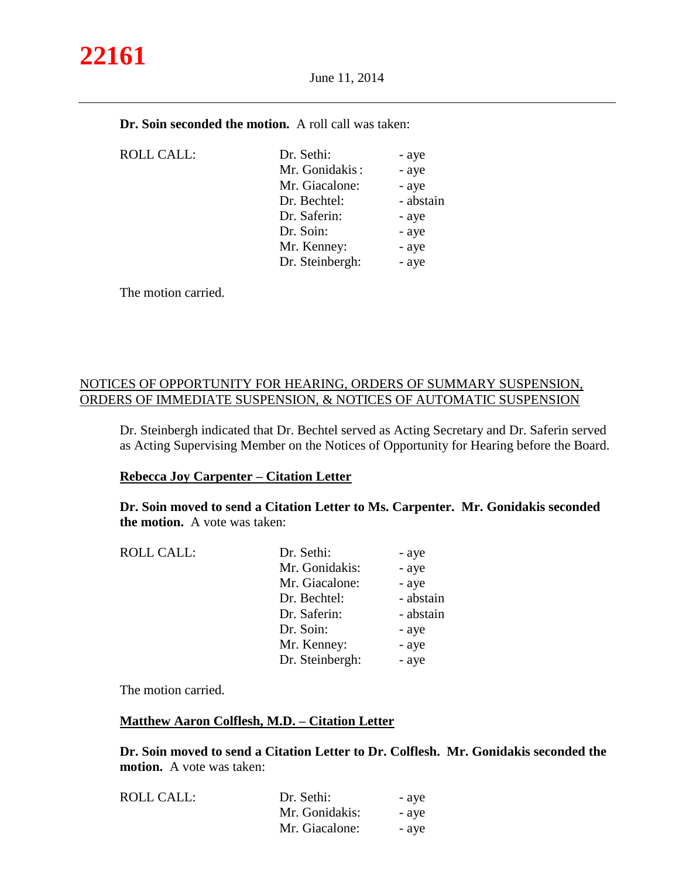# **22161**

June 11, 2014

| <b>Dr. Soin seconded the motion.</b> A roll call was taken: |  |  |  |
|-------------------------------------------------------------|--|--|--|
|-------------------------------------------------------------|--|--|--|

| <b>ROLL CALL:</b> | Dr. Sethi:      | - aye     |
|-------------------|-----------------|-----------|
|                   | Mr. Gonidakis:  | - aye     |
|                   | Mr. Giacalone:  | - aye     |
|                   | Dr. Bechtel:    | - abstain |
|                   | Dr. Saferin:    | - aye     |
|                   | Dr. Soin:       | - aye     |
|                   | Mr. Kenney:     | - aye     |
|                   | Dr. Steinbergh: | - aye     |
|                   |                 |           |

The motion carried.

# NOTICES OF OPPORTUNITY FOR HEARING, ORDERS OF SUMMARY SUSPENSION, ORDERS OF IMMEDIATE SUSPENSION, & NOTICES OF AUTOMATIC SUSPENSION

Dr. Steinbergh indicated that Dr. Bechtel served as Acting Secretary and Dr. Saferin served as Acting Supervising Member on the Notices of Opportunity for Hearing before the Board.

# **Rebecca Joy Carpenter – Citation Letter**

**Dr. Soin moved to send a Citation Letter to Ms. Carpenter. Mr. Gonidakis seconded the motion.** A vote was taken:

| <b>ROLL CALL:</b> | Dr. Sethi:      | - aye     |
|-------------------|-----------------|-----------|
|                   | Mr. Gonidakis:  | - aye     |
|                   | Mr. Giacalone:  | - aye     |
|                   | Dr. Bechtel:    | - abstain |
|                   | Dr. Saferin:    | - abstain |
|                   | Dr. Soin:       | - aye     |
|                   | Mr. Kenney:     | - aye     |
|                   | Dr. Steinbergh: | - aye     |
|                   |                 |           |

The motion carried.

#### **Matthew Aaron Colflesh, M.D. – Citation Letter**

**Dr. Soin moved to send a Citation Letter to Dr. Colflesh. Mr. Gonidakis seconded the motion.** A vote was taken:

| <b>ROLL CALL:</b> | Dr. Sethi:     | - ave |
|-------------------|----------------|-------|
|                   | Mr. Gonidakis: | - ave |
|                   | Mr. Giacalone: | - ave |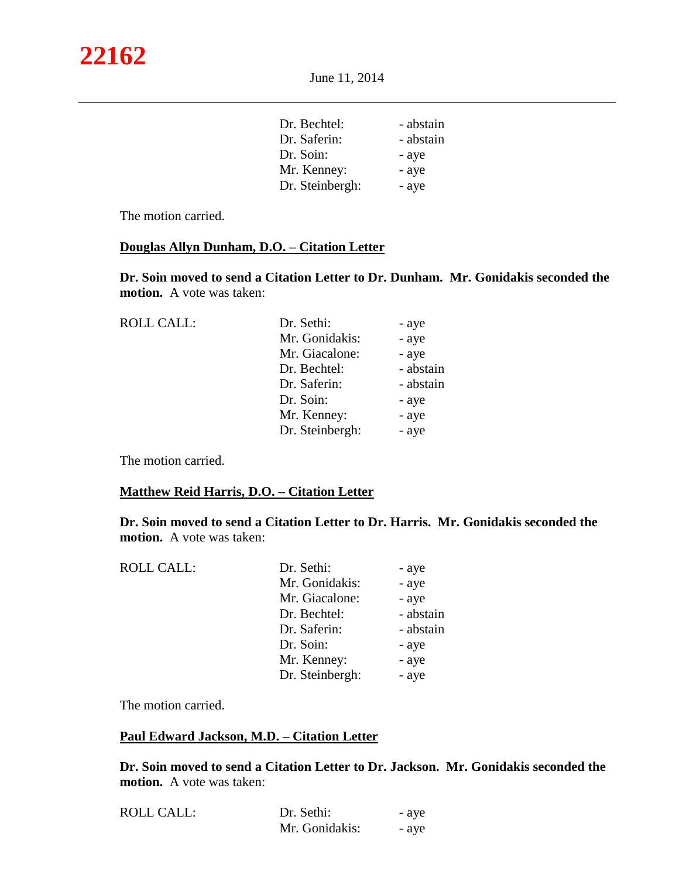| Dr. Bechtel:    | - abstain |
|-----------------|-----------|
| Dr. Saferin:    | - abstain |
| Dr. Soin:       | - aye     |
| Mr. Kenney:     | - aye     |
| Dr. Steinbergh: | - aye     |
|                 |           |

The motion carried.

#### **Douglas Allyn Dunham, D.O. – Citation Letter**

**Dr. Soin moved to send a Citation Letter to Dr. Dunham. Mr. Gonidakis seconded the motion.** A vote was taken:

| <b>ROLL CALL:</b> | Dr. Sethi:      | - aye     |
|-------------------|-----------------|-----------|
|                   | Mr. Gonidakis:  | - aye     |
|                   | Mr. Giacalone:  | - aye     |
|                   | Dr. Bechtel:    | - abstain |
|                   | Dr. Saferin:    | - abstain |
|                   | Dr. Soin:       | - aye     |
|                   | Mr. Kenney:     | - aye     |
|                   | Dr. Steinbergh: | - aye     |
|                   |                 |           |

The motion carried.

#### **Matthew Reid Harris, D.O. – Citation Letter**

**Dr. Soin moved to send a Citation Letter to Dr. Harris. Mr. Gonidakis seconded the motion.** A vote was taken:

| <b>ROLL CALL:</b> | Dr. Sethi:      | - aye     |
|-------------------|-----------------|-----------|
|                   | Mr. Gonidakis:  | - aye     |
|                   | Mr. Giacalone:  | - aye     |
|                   | Dr. Bechtel:    | - abstain |
|                   | Dr. Saferin:    | - abstain |
|                   | Dr. Soin:       | - aye     |
|                   | Mr. Kenney:     | - aye     |
|                   | Dr. Steinbergh: | - aye     |
|                   |                 |           |

The motion carried.

#### **Paul Edward Jackson, M.D. – Citation Letter**

**Dr. Soin moved to send a Citation Letter to Dr. Jackson. Mr. Gonidakis seconded the motion.** A vote was taken:

| <b>ROLL CALL:</b> | Dr. Sethi:     | - aye |
|-------------------|----------------|-------|
|                   | Mr. Gonidakis: | - ave |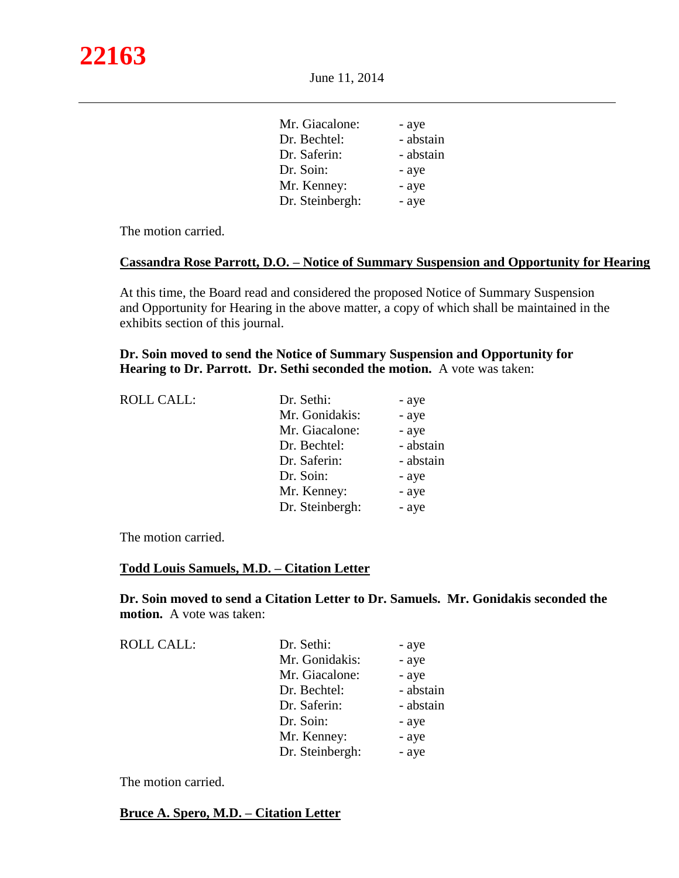| Mr. Giacalone:  | - aye     |
|-----------------|-----------|
| Dr. Bechtel:    | - abstain |
| Dr. Saferin:    | - abstain |
| Dr. Soin:       | - aye     |
| Mr. Kenney:     | - aye     |
| Dr. Steinbergh: | - aye     |
|                 |           |

The motion carried.

#### **Cassandra Rose Parrott, D.O. – Notice of Summary Suspension and Opportunity for Hearing**

At this time, the Board read and considered the proposed Notice of Summary Suspension and Opportunity for Hearing in the above matter, a copy of which shall be maintained in the exhibits section of this journal.

**Dr. Soin moved to send the Notice of Summary Suspension and Opportunity for Hearing to Dr. Parrott. Dr. Sethi seconded the motion.** A vote was taken:

| Dr. Sethi:      | - aye     |
|-----------------|-----------|
| Mr. Gonidakis:  | - aye     |
| Mr. Giacalone:  | - aye     |
| Dr. Bechtel:    | - abstain |
| Dr. Saferin:    | - abstain |
| Dr. Soin:       | - aye     |
| Mr. Kenney:     | - aye     |
| Dr. Steinbergh: | - aye     |
|                 |           |

The motion carried.

#### **Todd Louis Samuels, M.D. – Citation Letter**

**Dr. Soin moved to send a Citation Letter to Dr. Samuels. Mr. Gonidakis seconded the motion.** A vote was taken:

| <b>ROLL CALL:</b> | Dr. Sethi:      | - aye     |
|-------------------|-----------------|-----------|
|                   | Mr. Gonidakis:  | - aye     |
|                   | Mr. Giacalone:  | - aye     |
|                   | Dr. Bechtel:    | - abstain |
|                   | Dr. Saferin:    | - abstain |
|                   | Dr. Soin:       | - aye     |
|                   | Mr. Kenney:     | - aye     |
|                   | Dr. Steinbergh: | - aye     |
|                   |                 |           |

The motion carried.

**Bruce A. Spero, M.D. – Citation Letter**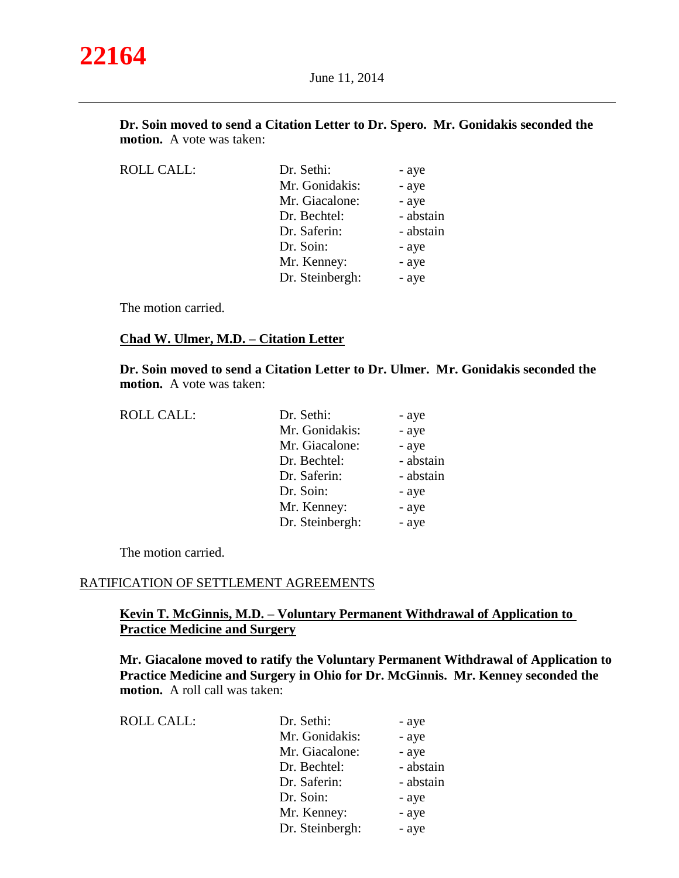| Dr. Soin moved to send a Citation Letter to Dr. Spero. Mr. Gonidakis seconded the |  |
|-----------------------------------------------------------------------------------|--|
| <b>motion.</b> A vote was taken:                                                  |  |

| <b>ROLL CALL:</b> | Dr. Sethi:      | - aye     |
|-------------------|-----------------|-----------|
|                   | Mr. Gonidakis:  | - aye     |
|                   | Mr. Giacalone:  | - aye     |
|                   | Dr. Bechtel:    | - abstain |
|                   | Dr. Saferin:    | - abstain |
|                   | Dr. Soin:       | - aye     |
|                   | Mr. Kenney:     | - aye     |
|                   | Dr. Steinbergh: | - aye     |
|                   |                 |           |

The motion carried.

# **Chad W. Ulmer, M.D. – Citation Letter**

**Dr. Soin moved to send a Citation Letter to Dr. Ulmer. Mr. Gonidakis seconded the motion.** A vote was taken:

| <b>ROLL CALL:</b> | Dr. Sethi:      | - aye     |
|-------------------|-----------------|-----------|
|                   | Mr. Gonidakis:  | - aye     |
|                   | Mr. Giacalone:  | - aye     |
|                   | Dr. Bechtel:    | - abstain |
|                   | Dr. Saferin:    | - abstain |
|                   | Dr. Soin:       | - aye     |
|                   | Mr. Kenney:     | - aye     |
|                   | Dr. Steinbergh: | - aye     |

The motion carried.

#### RATIFICATION OF SETTLEMENT AGREEMENTS

# **Kevin T. McGinnis, M.D. – Voluntary Permanent Withdrawal of Application to Practice Medicine and Surgery**

**Mr. Giacalone moved to ratify the Voluntary Permanent Withdrawal of Application to Practice Medicine and Surgery in Ohio for Dr. McGinnis. Mr. Kenney seconded the motion.** A roll call was taken:

| Dr. Sethi:      | - aye     |
|-----------------|-----------|
| Mr. Gonidakis:  | - aye     |
| Mr. Giacalone:  | - aye     |
| Dr. Bechtel:    | - abstain |
| Dr. Saferin:    | - abstain |
| Dr. Soin:       | - aye     |
| Mr. Kenney:     | - aye     |
| Dr. Steinbergh: | - aye     |
|                 |           |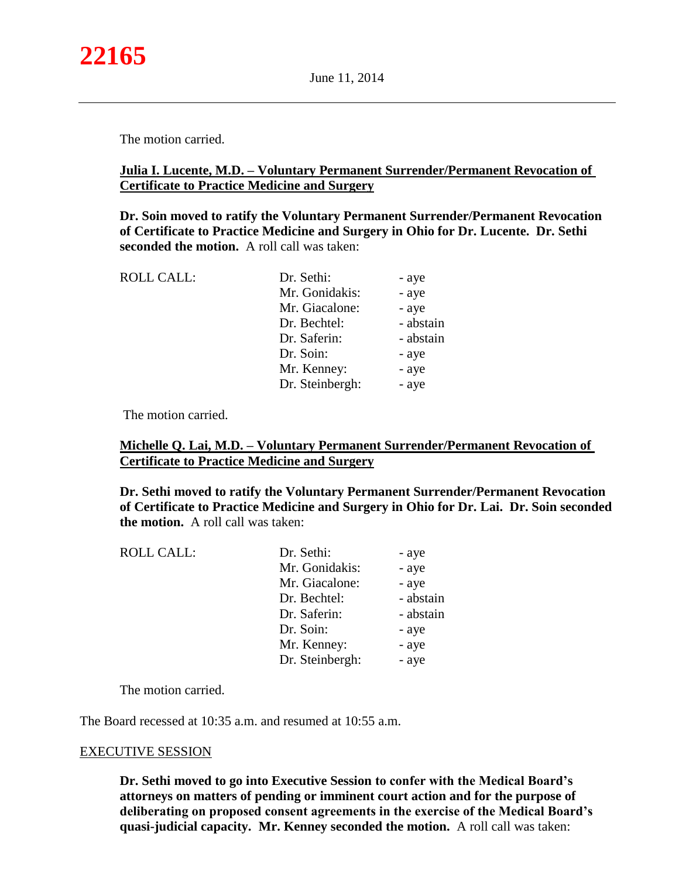The motion carried.

# **Julia I. Lucente, M.D. – Voluntary Permanent Surrender/Permanent Revocation of Certificate to Practice Medicine and Surgery**

**Dr. Soin moved to ratify the Voluntary Permanent Surrender/Permanent Revocation of Certificate to Practice Medicine and Surgery in Ohio for Dr. Lucente. Dr. Sethi seconded the motion.** A roll call was taken:

| <b>ROLL CALL:</b> | Dr. Sethi:      | - aye     |
|-------------------|-----------------|-----------|
|                   | Mr. Gonidakis:  | - aye     |
|                   | Mr. Giacalone:  | - aye     |
|                   | Dr. Bechtel:    | - abstain |
|                   | Dr. Saferin:    | - abstain |
|                   | Dr. Soin:       | - aye     |
|                   | Mr. Kenney:     | - aye     |
|                   | Dr. Steinbergh: | - aye     |

The motion carried.

# **Michelle Q. Lai, M.D. – Voluntary Permanent Surrender/Permanent Revocation of Certificate to Practice Medicine and Surgery**

**Dr. Sethi moved to ratify the Voluntary Permanent Surrender/Permanent Revocation of Certificate to Practice Medicine and Surgery in Ohio for Dr. Lai. Dr. Soin seconded the motion.** A roll call was taken:

| <b>ROLL CALL:</b> | Dr. Sethi:      | - aye     |
|-------------------|-----------------|-----------|
|                   | Mr. Gonidakis:  | - aye     |
|                   | Mr. Giacalone:  | - aye     |
|                   | Dr. Bechtel:    | - abstain |
|                   | Dr. Saferin:    | - abstain |
|                   | Dr. Soin:       | - aye     |
|                   | Mr. Kenney:     | - aye     |
|                   | Dr. Steinbergh: | - aye     |
|                   |                 |           |

The motion carried.

The Board recessed at 10:35 a.m. and resumed at 10:55 a.m.

#### EXECUTIVE SESSION

**Dr. Sethi moved to go into Executive Session to confer with the Medical Board's attorneys on matters of pending or imminent court action and for the purpose of deliberating on proposed consent agreements in the exercise of the Medical Board's quasi-judicial capacity. Mr. Kenney seconded the motion.** A roll call was taken: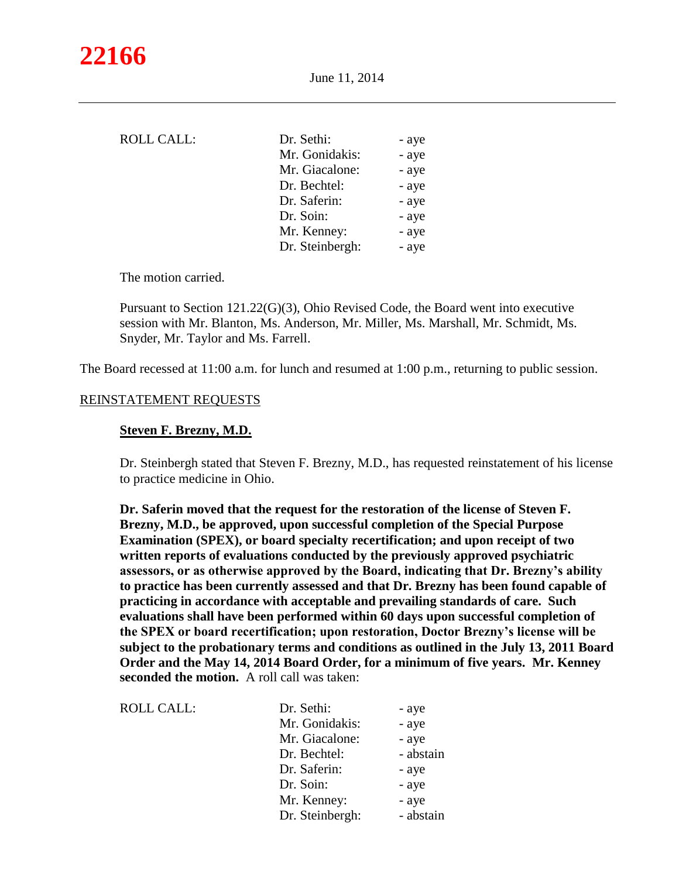| <b>ROLL CALL:</b> | Dr. Sethi:      | - aye |
|-------------------|-----------------|-------|
|                   | Mr. Gonidakis:  | - aye |
|                   | Mr. Giacalone:  | - aye |
|                   | Dr. Bechtel:    | - aye |
|                   | Dr. Saferin:    | - aye |
|                   | Dr. Soin:       | - aye |
|                   | Mr. Kenney:     | - aye |
|                   | Dr. Steinbergh: | - aye |
|                   |                 |       |

The motion carried.

Pursuant to Section 121.22(G)(3), Ohio Revised Code, the Board went into executive session with Mr. Blanton, Ms. Anderson, Mr. Miller, Ms. Marshall, Mr. Schmidt, Ms. Snyder, Mr. Taylor and Ms. Farrell.

The Board recessed at 11:00 a.m. for lunch and resumed at 1:00 p.m., returning to public session.

#### REINSTATEMENT REQUESTS

#### **Steven F. Brezny, M.D.**

Dr. Steinbergh stated that Steven F. Brezny, M.D., has requested reinstatement of his license to practice medicine in Ohio.

**Dr. Saferin moved that the request for the restoration of the license of Steven F. Brezny, M.D., be approved, upon successful completion of the Special Purpose Examination (SPEX), or board specialty recertification; and upon receipt of two written reports of evaluations conducted by the previously approved psychiatric assessors, or as otherwise approved by the Board, indicating that Dr. Brezny's ability to practice has been currently assessed and that Dr. Brezny has been found capable of practicing in accordance with acceptable and prevailing standards of care. Such evaluations shall have been performed within 60 days upon successful completion of the SPEX or board recertification; upon restoration, Doctor Brezny's license will be subject to the probationary terms and conditions as outlined in the July 13, 2011 Board Order and the May 14, 2014 Board Order, for a minimum of five years. Mr. Kenney seconded the motion.** A roll call was taken:

| <b>ROLL CALL:</b> | Dr. Sethi:      | - aye     |
|-------------------|-----------------|-----------|
|                   | Mr. Gonidakis:  | - aye     |
|                   | Mr. Giacalone:  | - aye     |
|                   | Dr. Bechtel:    | - abstain |
|                   | Dr. Saferin:    | - aye     |
|                   | Dr. Soin:       | - aye     |
|                   | Mr. Kenney:     | - aye     |
|                   | Dr. Steinbergh: | - abstain |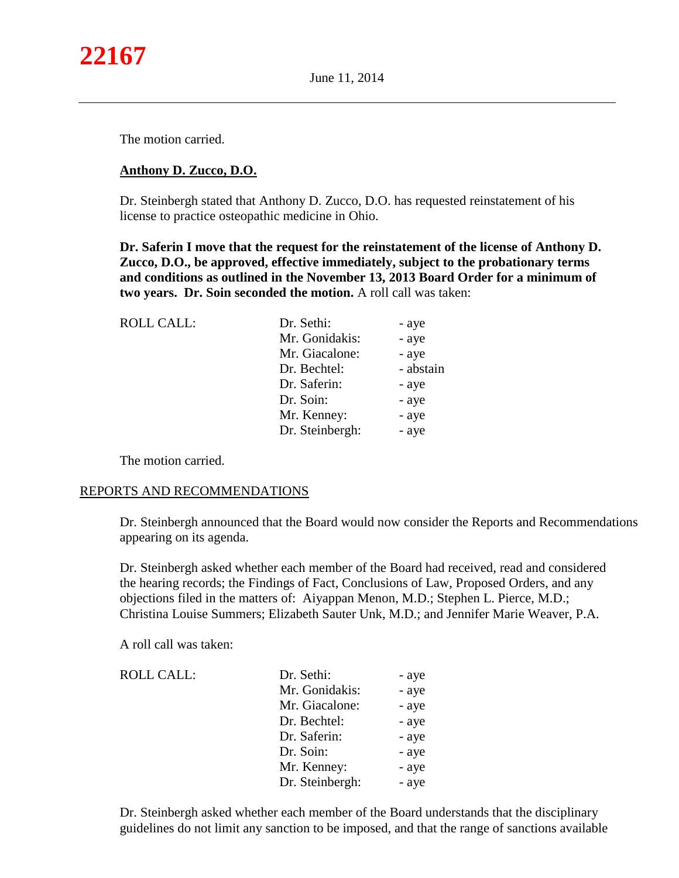

The motion carried.

# **Anthony D. Zucco, D.O.**

Dr. Steinbergh stated that Anthony D. Zucco, D.O. has requested reinstatement of his license to practice osteopathic medicine in Ohio.

**Dr. Saferin I move that the request for the reinstatement of the license of Anthony D. Zucco, D.O., be approved, effective immediately, subject to the probationary terms and conditions as outlined in the November 13, 2013 Board Order for a minimum of two years. Dr. Soin seconded the motion.** A roll call was taken:

| <b>ROLL CALL:</b> | Dr. Sethi:<br>Mr. Gonidakis:<br>Mr. Giacalone: | - aye<br>- aye<br>- aye |
|-------------------|------------------------------------------------|-------------------------|
|                   | Dr. Bechtel:                                   | - abstain               |
|                   | Dr. Saferin:                                   | - aye                   |
|                   | Dr. Soin:                                      | - aye                   |
|                   | Mr. Kenney:                                    | - aye                   |
|                   | Dr. Steinbergh:                                | - aye                   |
|                   |                                                |                         |

The motion carried.

#### REPORTS AND RECOMMENDATIONS

Dr. Steinbergh announced that the Board would now consider the Reports and Recommendations appearing on its agenda.

Dr. Steinbergh asked whether each member of the Board had received, read and considered the hearing records; the Findings of Fact, Conclusions of Law, Proposed Orders, and any objections filed in the matters of: Aiyappan Menon, M.D.; Stephen L. Pierce, M.D.; Christina Louise Summers; Elizabeth Sauter Unk, M.D.; and Jennifer Marie Weaver, P.A.

A roll call was taken:

| <b>ROLL CALL:</b> | Dr. Sethi:      | - aye |
|-------------------|-----------------|-------|
|                   | Mr. Gonidakis:  | - aye |
|                   | Mr. Giacalone:  | - aye |
|                   | Dr. Bechtel:    | - aye |
|                   | Dr. Saferin:    | - aye |
|                   | Dr. Soin:       | - aye |
|                   | Mr. Kenney:     | - aye |
|                   | Dr. Steinbergh: | - aye |

Dr. Steinbergh asked whether each member of the Board understands that the disciplinary guidelines do not limit any sanction to be imposed, and that the range of sanctions available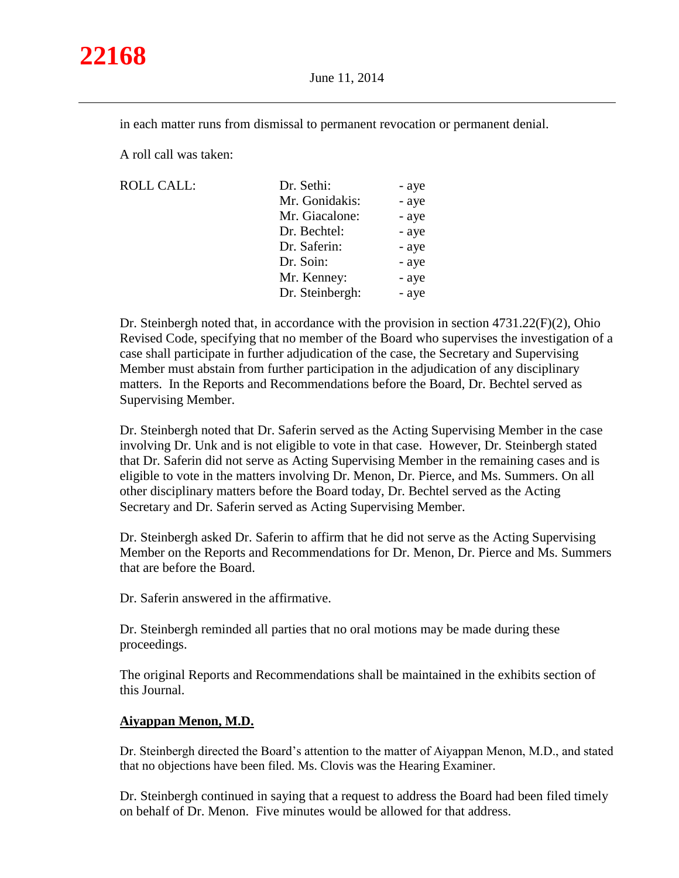

in each matter runs from dismissal to permanent revocation or permanent denial.

A roll call was taken:

 $ROLL CALL$ :

| ROLL CALL: | Dr. Sethi:      | - aye |
|------------|-----------------|-------|
|            | Mr. Gonidakis:  | - aye |
|            | Mr. Giacalone:  | - aye |
|            | Dr. Bechtel:    | - aye |
|            | Dr. Saferin:    | - aye |
|            | Dr. Soin:       | - aye |
|            | Mr. Kenney:     | - aye |
|            | Dr. Steinbergh: | - aye |
|            |                 |       |

Dr. Steinbergh noted that, in accordance with the provision in section 4731.22(F)(2), Ohio Revised Code, specifying that no member of the Board who supervises the investigation of a case shall participate in further adjudication of the case, the Secretary and Supervising Member must abstain from further participation in the adjudication of any disciplinary matters. In the Reports and Recommendations before the Board, Dr. Bechtel served as Supervising Member.

Dr. Steinbergh noted that Dr. Saferin served as the Acting Supervising Member in the case involving Dr. Unk and is not eligible to vote in that case. However, Dr. Steinbergh stated that Dr. Saferin did not serve as Acting Supervising Member in the remaining cases and is eligible to vote in the matters involving Dr. Menon, Dr. Pierce, and Ms. Summers. On all other disciplinary matters before the Board today, Dr. Bechtel served as the Acting Secretary and Dr. Saferin served as Acting Supervising Member.

Dr. Steinbergh asked Dr. Saferin to affirm that he did not serve as the Acting Supervising Member on the Reports and Recommendations for Dr. Menon, Dr. Pierce and Ms. Summers that are before the Board.

Dr. Saferin answered in the affirmative.

Dr. Steinbergh reminded all parties that no oral motions may be made during these proceedings.

The original Reports and Recommendations shall be maintained in the exhibits section of this Journal.

#### **Aiyappan Menon, M.D.**

Dr. Steinbergh directed the Board's attention to the matter of Aiyappan Menon, M.D., and stated that no objections have been filed. Ms. Clovis was the Hearing Examiner.

Dr. Steinbergh continued in saying that a request to address the Board had been filed timely on behalf of Dr. Menon. Five minutes would be allowed for that address.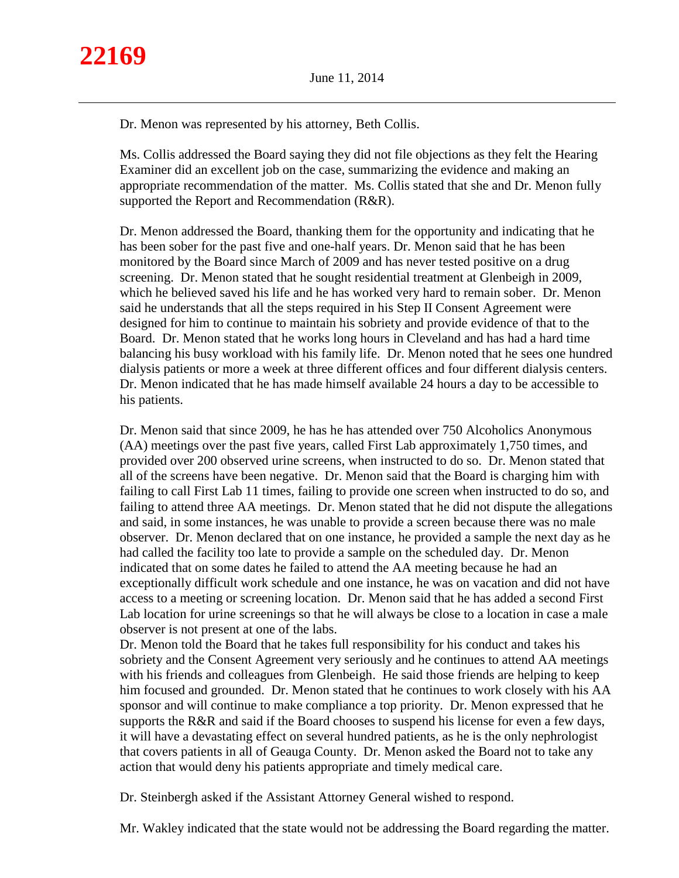Dr. Menon was represented by his attorney, Beth Collis.

Ms. Collis addressed the Board saying they did not file objections as they felt the Hearing Examiner did an excellent job on the case, summarizing the evidence and making an appropriate recommendation of the matter. Ms. Collis stated that she and Dr. Menon fully supported the Report and Recommendation (R&R).

Dr. Menon addressed the Board, thanking them for the opportunity and indicating that he has been sober for the past five and one-half years. Dr. Menon said that he has been monitored by the Board since March of 2009 and has never tested positive on a drug screening. Dr. Menon stated that he sought residential treatment at Glenbeigh in 2009, which he believed saved his life and he has worked very hard to remain sober. Dr. Menon said he understands that all the steps required in his Step II Consent Agreement were designed for him to continue to maintain his sobriety and provide evidence of that to the Board. Dr. Menon stated that he works long hours in Cleveland and has had a hard time balancing his busy workload with his family life. Dr. Menon noted that he sees one hundred dialysis patients or more a week at three different offices and four different dialysis centers. Dr. Menon indicated that he has made himself available 24 hours a day to be accessible to his patients.

Dr. Menon said that since 2009, he has he has attended over 750 Alcoholics Anonymous (AA) meetings over the past five years, called First Lab approximately 1,750 times, and provided over 200 observed urine screens, when instructed to do so. Dr. Menon stated that all of the screens have been negative. Dr. Menon said that the Board is charging him with failing to call First Lab 11 times, failing to provide one screen when instructed to do so, and failing to attend three AA meetings. Dr. Menon stated that he did not dispute the allegations and said, in some instances, he was unable to provide a screen because there was no male observer. Dr. Menon declared that on one instance, he provided a sample the next day as he had called the facility too late to provide a sample on the scheduled day. Dr. Menon indicated that on some dates he failed to attend the AA meeting because he had an exceptionally difficult work schedule and one instance, he was on vacation and did not have access to a meeting or screening location. Dr. Menon said that he has added a second First Lab location for urine screenings so that he will always be close to a location in case a male observer is not present at one of the labs.

Dr. Menon told the Board that he takes full responsibility for his conduct and takes his sobriety and the Consent Agreement very seriously and he continues to attend AA meetings with his friends and colleagues from Glenbeigh. He said those friends are helping to keep him focused and grounded. Dr. Menon stated that he continues to work closely with his AA sponsor and will continue to make compliance a top priority. Dr. Menon expressed that he supports the R&R and said if the Board chooses to suspend his license for even a few days, it will have a devastating effect on several hundred patients, as he is the only nephrologist that covers patients in all of Geauga County. Dr. Menon asked the Board not to take any action that would deny his patients appropriate and timely medical care.

Dr. Steinbergh asked if the Assistant Attorney General wished to respond.

Mr. Wakley indicated that the state would not be addressing the Board regarding the matter.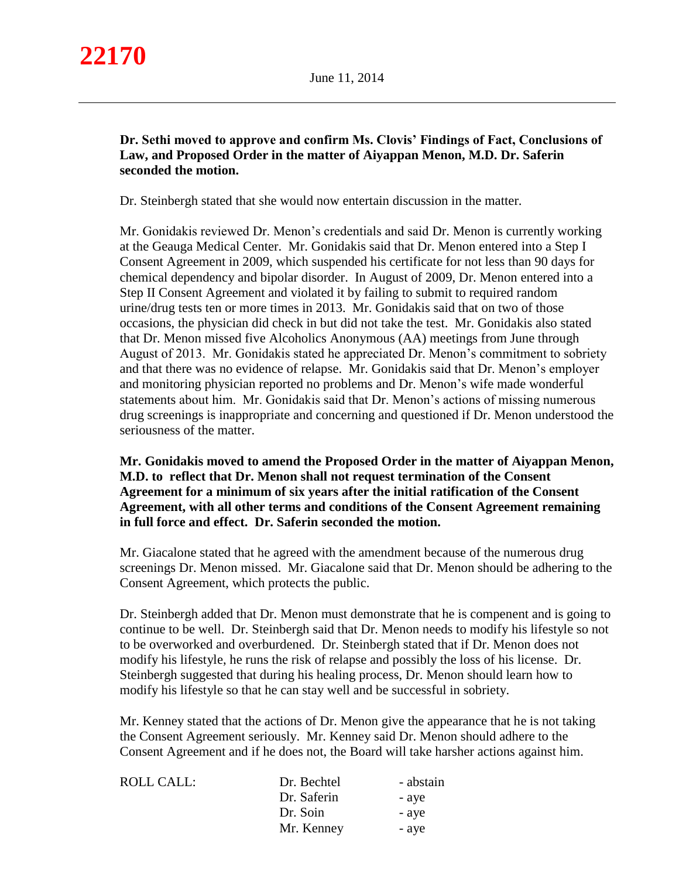

# **Dr. Sethi moved to approve and confirm Ms. Clovis' Findings of Fact, Conclusions of Law, and Proposed Order in the matter of Aiyappan Menon, M.D. Dr. Saferin seconded the motion.**

Dr. Steinbergh stated that she would now entertain discussion in the matter.

Mr. Gonidakis reviewed Dr. Menon's credentials and said Dr. Menon is currently working at the Geauga Medical Center. Mr. Gonidakis said that Dr. Menon entered into a Step I Consent Agreement in 2009, which suspended his certificate for not less than 90 days for chemical dependency and bipolar disorder. In August of 2009, Dr. Menon entered into a Step II Consent Agreement and violated it by failing to submit to required random urine/drug tests ten or more times in 2013. Mr. Gonidakis said that on two of those occasions, the physician did check in but did not take the test. Mr. Gonidakis also stated that Dr. Menon missed five Alcoholics Anonymous (AA) meetings from June through August of 2013. Mr. Gonidakis stated he appreciated Dr. Menon's commitment to sobriety and that there was no evidence of relapse. Mr. Gonidakis said that Dr. Menon's employer and monitoring physician reported no problems and Dr. Menon's wife made wonderful statements about him. Mr. Gonidakis said that Dr. Menon's actions of missing numerous drug screenings is inappropriate and concerning and questioned if Dr. Menon understood the seriousness of the matter.

**Mr. Gonidakis moved to amend the Proposed Order in the matter of Aiyappan Menon, M.D. to reflect that Dr. Menon shall not request termination of the Consent Agreement for a minimum of six years after the initial ratification of the Consent Agreement, with all other terms and conditions of the Consent Agreement remaining in full force and effect. Dr. Saferin seconded the motion.** 

Mr. Giacalone stated that he agreed with the amendment because of the numerous drug screenings Dr. Menon missed. Mr. Giacalone said that Dr. Menon should be adhering to the Consent Agreement, which protects the public.

Dr. Steinbergh added that Dr. Menon must demonstrate that he is compenent and is going to continue to be well. Dr. Steinbergh said that Dr. Menon needs to modify his lifestyle so not to be overworked and overburdened. Dr. Steinbergh stated that if Dr. Menon does not modify his lifestyle, he runs the risk of relapse and possibly the loss of his license. Dr. Steinbergh suggested that during his healing process, Dr. Menon should learn how to modify his lifestyle so that he can stay well and be successful in sobriety.

Mr. Kenney stated that the actions of Dr. Menon give the appearance that he is not taking the Consent Agreement seriously. Mr. Kenney said Dr. Menon should adhere to the Consent Agreement and if he does not, the Board will take harsher actions against him.

| ROLL CALL: | Dr. Bechtel | - abstain |
|------------|-------------|-----------|
|            | Dr. Saferin | - aye     |
|            | Dr. Soin    | - aye     |
|            | Mr. Kenney  | - aye     |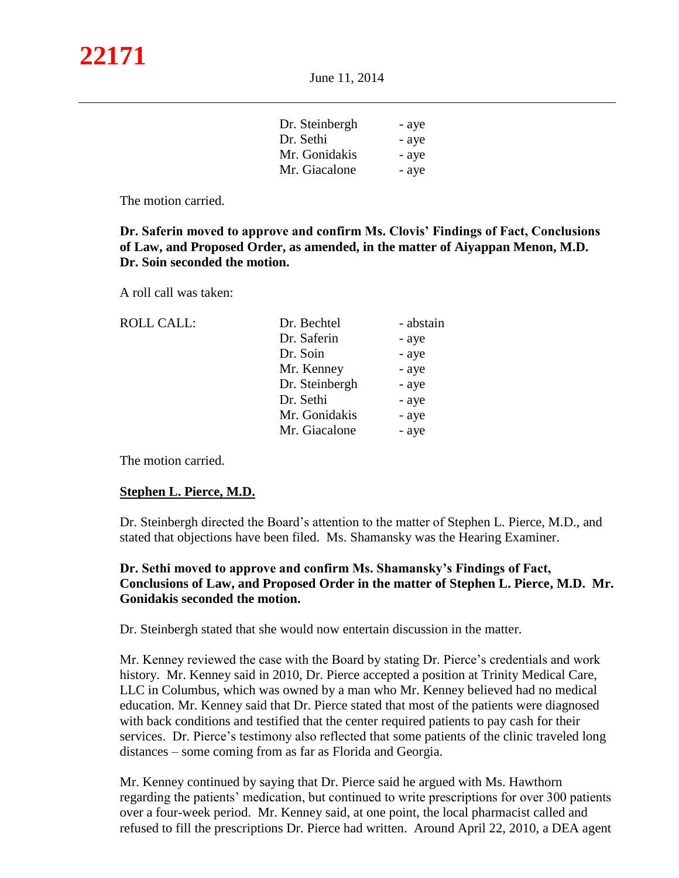| Dr. Steinbergh | - aye |
|----------------|-------|
| Dr. Sethi      | - aye |
| Mr. Gonidakis  | - aye |
| Mr. Giacalone  | - aye |

The motion carried.

 **Dr. Saferin moved to approve and confirm Ms. Clovis' Findings of Fact, Conclusions of Law, and Proposed Order, as amended, in the matter of Aiyappan Menon, M.D. Dr. Soin seconded the motion.**

A roll call was taken:

| <b>ROLL CALL:</b> | Dr. Bechtel    | - abstain |
|-------------------|----------------|-----------|
|                   | Dr. Saferin    | - aye     |
|                   | Dr. Soin       | - aye     |
|                   | Mr. Kenney     | - aye     |
|                   | Dr. Steinbergh | - aye     |
|                   | Dr. Sethi      | - aye     |
|                   | Mr. Gonidakis  | - aye     |
|                   | Mr. Giacalone  | - aye     |
|                   |                |           |

The motion carried.

# **Stephen L. Pierce, M.D.**

Dr. Steinbergh directed the Board's attention to the matter of Stephen L. Pierce, M.D., and stated that objections have been filed. Ms. Shamansky was the Hearing Examiner.

# **Dr. Sethi moved to approve and confirm Ms. Shamansky's Findings of Fact, Conclusions of Law, and Proposed Order in the matter of Stephen L. Pierce, M.D. Mr. Gonidakis seconded the motion.**

Dr. Steinbergh stated that she would now entertain discussion in the matter.

Mr. Kenney reviewed the case with the Board by stating Dr. Pierce's credentials and work history. Mr. Kenney said in 2010, Dr. Pierce accepted a position at Trinity Medical Care, LLC in Columbus, which was owned by a man who Mr. Kenney believed had no medical education. Mr. Kenney said that Dr. Pierce stated that most of the patients were diagnosed with back conditions and testified that the center required patients to pay cash for their services. Dr. Pierce's testimony also reflected that some patients of the clinic traveled long distances – some coming from as far as Florida and Georgia.

Mr. Kenney continued by saying that Dr. Pierce said he argued with Ms. Hawthorn regarding the patients' medication, but continued to write prescriptions for over 300 patients over a four-week period. Mr. Kenney said, at one point, the local pharmacist called and refused to fill the prescriptions Dr. Pierce had written. Around April 22, 2010, a DEA agent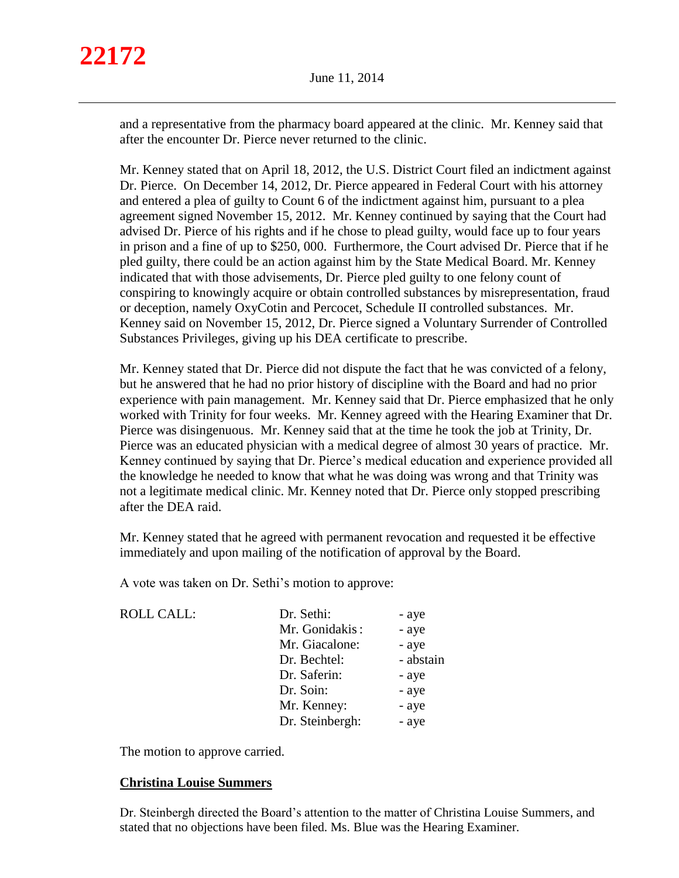and a representative from the pharmacy board appeared at the clinic. Mr. Kenney said that after the encounter Dr. Pierce never returned to the clinic.

Mr. Kenney stated that on April 18, 2012, the U.S. District Court filed an indictment against Dr. Pierce. On December 14, 2012, Dr. Pierce appeared in Federal Court with his attorney and entered a plea of guilty to Count 6 of the indictment against him, pursuant to a plea agreement signed November 15, 2012. Mr. Kenney continued by saying that the Court had advised Dr. Pierce of his rights and if he chose to plead guilty, would face up to four years in prison and a fine of up to \$250, 000. Furthermore, the Court advised Dr. Pierce that if he pled guilty, there could be an action against him by the State Medical Board. Mr. Kenney indicated that with those advisements, Dr. Pierce pled guilty to one felony count of conspiring to knowingly acquire or obtain controlled substances by misrepresentation, fraud or deception, namely OxyCotin and Percocet, Schedule II controlled substances. Mr. Kenney said on November 15, 2012, Dr. Pierce signed a Voluntary Surrender of Controlled Substances Privileges, giving up his DEA certificate to prescribe.

Mr. Kenney stated that Dr. Pierce did not dispute the fact that he was convicted of a felony, but he answered that he had no prior history of discipline with the Board and had no prior experience with pain management. Mr. Kenney said that Dr. Pierce emphasized that he only worked with Trinity for four weeks. Mr. Kenney agreed with the Hearing Examiner that Dr. Pierce was disingenuous. Mr. Kenney said that at the time he took the job at Trinity, Dr. Pierce was an educated physician with a medical degree of almost 30 years of practice. Mr. Kenney continued by saying that Dr. Pierce's medical education and experience provided all the knowledge he needed to know that what he was doing was wrong and that Trinity was not a legitimate medical clinic. Mr. Kenney noted that Dr. Pierce only stopped prescribing after the DEA raid.

Mr. Kenney stated that he agreed with permanent revocation and requested it be effective immediately and upon mailing of the notification of approval by the Board.

A vote was taken on Dr. Sethi's motion to approve:

| <b>ROLL CALL:</b> | Dr. Sethi:      | - aye     |
|-------------------|-----------------|-----------|
|                   | Mr. Gonidakis:  | - aye     |
|                   | Mr. Giacalone:  | - aye     |
|                   | Dr. Bechtel:    | - abstain |
|                   | Dr. Saferin:    | - aye     |
|                   | Dr. Soin:       | - aye     |
|                   | Mr. Kenney:     | - aye     |
|                   | Dr. Steinbergh: | - aye     |
|                   |                 |           |

The motion to approve carried.

# **Christina Louise Summers**

Dr. Steinbergh directed the Board's attention to the matter of Christina Louise Summers, and stated that no objections have been filed. Ms. Blue was the Hearing Examiner.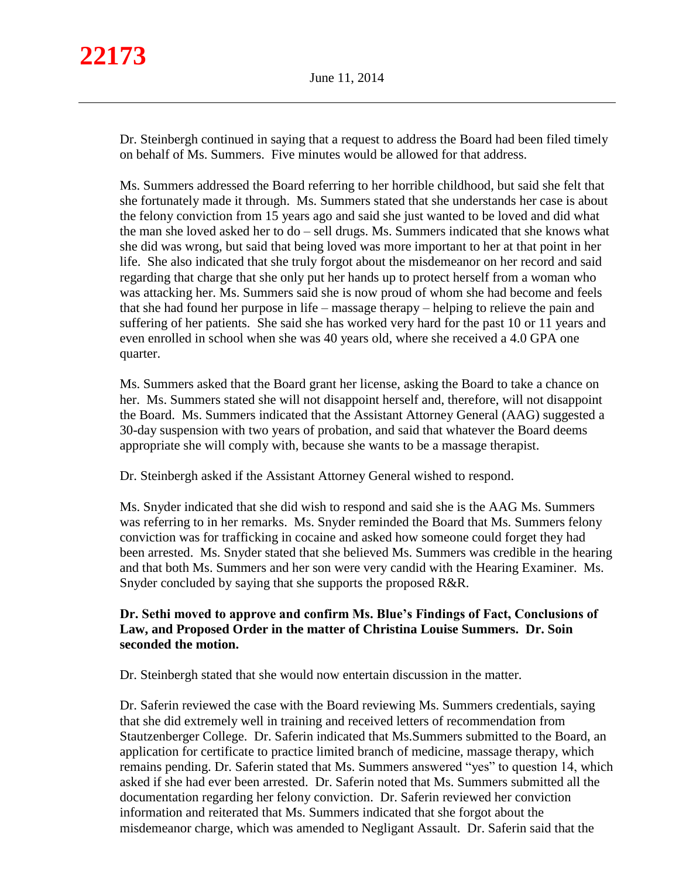Dr. Steinbergh continued in saying that a request to address the Board had been filed timely on behalf of Ms. Summers. Five minutes would be allowed for that address.

Ms. Summers addressed the Board referring to her horrible childhood, but said she felt that she fortunately made it through. Ms. Summers stated that she understands her case is about the felony conviction from 15 years ago and said she just wanted to be loved and did what the man she loved asked her to do – sell drugs. Ms. Summers indicated that she knows what she did was wrong, but said that being loved was more important to her at that point in her life. She also indicated that she truly forgot about the misdemeanor on her record and said regarding that charge that she only put her hands up to protect herself from a woman who was attacking her. Ms. Summers said she is now proud of whom she had become and feels that she had found her purpose in life – massage therapy – helping to relieve the pain and suffering of her patients. She said she has worked very hard for the past 10 or 11 years and even enrolled in school when she was 40 years old, where she received a 4.0 GPA one quarter.

Ms. Summers asked that the Board grant her license, asking the Board to take a chance on her. Ms. Summers stated she will not disappoint herself and, therefore, will not disappoint the Board. Ms. Summers indicated that the Assistant Attorney General (AAG) suggested a 30-day suspension with two years of probation, and said that whatever the Board deems appropriate she will comply with, because she wants to be a massage therapist.

Dr. Steinbergh asked if the Assistant Attorney General wished to respond.

Ms. Snyder indicated that she did wish to respond and said she is the AAG Ms. Summers was referring to in her remarks. Ms. Snyder reminded the Board that Ms. Summers felony conviction was for trafficking in cocaine and asked how someone could forget they had been arrested. Ms. Snyder stated that she believed Ms. Summers was credible in the hearing and that both Ms. Summers and her son were very candid with the Hearing Examiner. Ms. Snyder concluded by saying that she supports the proposed R&R.

# **Dr. Sethi moved to approve and confirm Ms. Blue's Findings of Fact, Conclusions of Law, and Proposed Order in the matter of Christina Louise Summers. Dr. Soin seconded the motion.**

Dr. Steinbergh stated that she would now entertain discussion in the matter.

Dr. Saferin reviewed the case with the Board reviewing Ms. Summers credentials, saying that she did extremely well in training and received letters of recommendation from Stautzenberger College. Dr. Saferin indicated that Ms.Summers submitted to the Board, an application for certificate to practice limited branch of medicine, massage therapy, which remains pending. Dr. Saferin stated that Ms. Summers answered "yes" to question 14, which asked if she had ever been arrested. Dr. Saferin noted that Ms. Summers submitted all the documentation regarding her felony conviction. Dr. Saferin reviewed her conviction information and reiterated that Ms. Summers indicated that she forgot about the misdemeanor charge, which was amended to Negligant Assault. Dr. Saferin said that the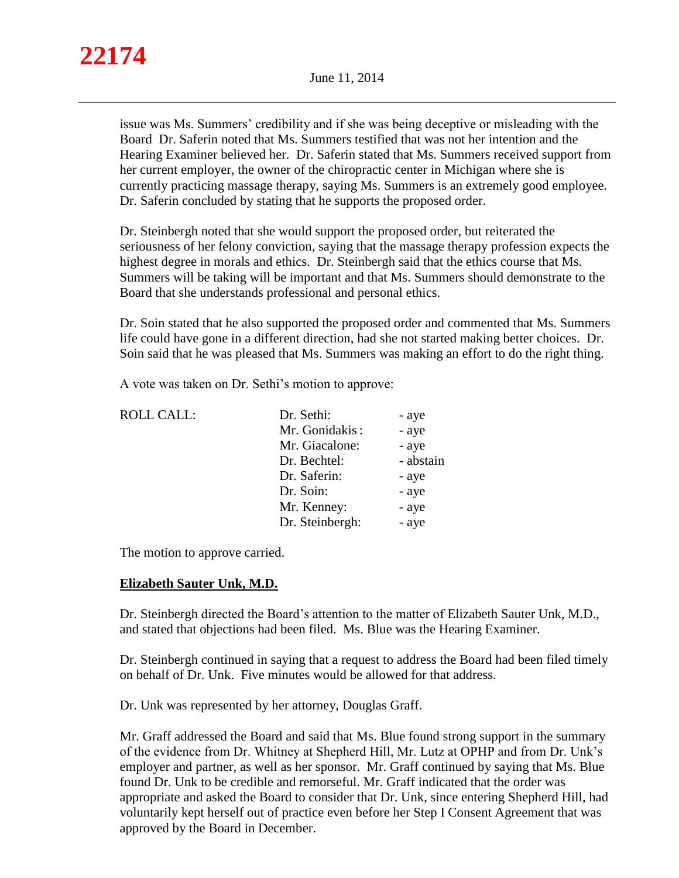issue was Ms. Summers' credibility and if she was being deceptive or misleading with the Board Dr. Saferin noted that Ms. Summers testified that was not her intention and the Hearing Examiner believed her. Dr. Saferin stated that Ms. Summers received support from her current employer, the owner of the chiropractic center in Michigan where she is currently practicing massage therapy, saying Ms. Summers is an extremely good employee. Dr. Saferin concluded by stating that he supports the proposed order.

Dr. Steinbergh noted that she would support the proposed order, but reiterated the seriousness of her felony conviction, saying that the massage therapy profession expects the highest degree in morals and ethics. Dr. Steinbergh said that the ethics course that Ms. Summers will be taking will be important and that Ms. Summers should demonstrate to the Board that she understands professional and personal ethics.

Dr. Soin stated that he also supported the proposed order and commented that Ms. Summers life could have gone in a different direction, had she not started making better choices. Dr. Soin said that he was pleased that Ms. Summers was making an effort to do the right thing.

A vote was taken on Dr. Sethi's motion to approve:

| <b>ROLL CALL:</b> | Dr. Sethi:      | - aye     |
|-------------------|-----------------|-----------|
|                   | Mr. Gonidakis:  | - aye     |
|                   | Mr. Giacalone:  | - aye     |
|                   | Dr. Bechtel:    | - abstain |
|                   | Dr. Saferin:    | - aye     |
|                   | Dr. Soin:       | - aye     |
|                   | Mr. Kenney:     | - aye     |
|                   | Dr. Steinbergh: | - aye     |
|                   |                 |           |

The motion to approve carried.

# **Elizabeth Sauter Unk, M.D.**

Dr. Steinbergh directed the Board's attention to the matter of Elizabeth Sauter Unk, M.D., and stated that objections had been filed. Ms. Blue was the Hearing Examiner.

Dr. Steinbergh continued in saying that a request to address the Board had been filed timely on behalf of Dr. Unk. Five minutes would be allowed for that address.

Dr. Unk was represented by her attorney, Douglas Graff.

Mr. Graff addressed the Board and said that Ms. Blue found strong support in the summary of the evidence from Dr. Whitney at Shepherd Hill, Mr. Lutz at OPHP and from Dr. Unk's employer and partner, as well as her sponsor. Mr. Graff continued by saying that Ms. Blue found Dr. Unk to be credible and remorseful. Mr. Graff indicated that the order was appropriate and asked the Board to consider that Dr. Unk, since entering Shepherd Hill, had voluntarily kept herself out of practice even before her Step I Consent Agreement that was approved by the Board in December.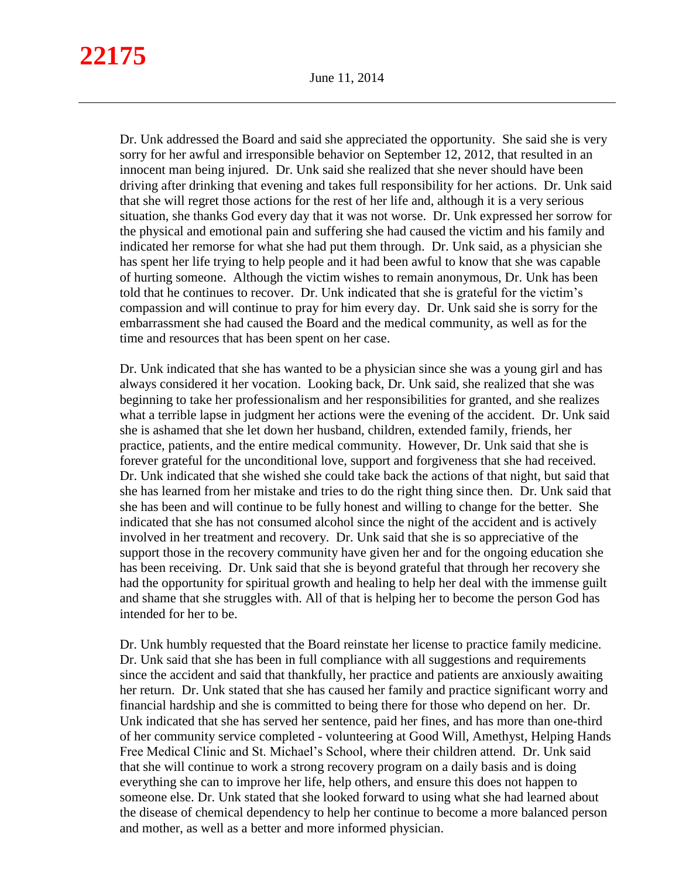Dr. Unk addressed the Board and said she appreciated the opportunity. She said she is very sorry for her awful and irresponsible behavior on September 12, 2012, that resulted in an innocent man being injured. Dr. Unk said she realized that she never should have been driving after drinking that evening and takes full responsibility for her actions. Dr. Unk said that she will regret those actions for the rest of her life and, although it is a very serious situation, she thanks God every day that it was not worse. Dr. Unk expressed her sorrow for the physical and emotional pain and suffering she had caused the victim and his family and indicated her remorse for what she had put them through. Dr. Unk said, as a physician she has spent her life trying to help people and it had been awful to know that she was capable of hurting someone. Although the victim wishes to remain anonymous, Dr. Unk has been told that he continues to recover. Dr. Unk indicated that she is grateful for the victim's compassion and will continue to pray for him every day. Dr. Unk said she is sorry for the embarrassment she had caused the Board and the medical community, as well as for the time and resources that has been spent on her case.

Dr. Unk indicated that she has wanted to be a physician since she was a young girl and has always considered it her vocation. Looking back, Dr. Unk said, she realized that she was beginning to take her professionalism and her responsibilities for granted, and she realizes what a terrible lapse in judgment her actions were the evening of the accident. Dr. Unk said she is ashamed that she let down her husband, children, extended family, friends, her practice, patients, and the entire medical community. However, Dr. Unk said that she is forever grateful for the unconditional love, support and forgiveness that she had received. Dr. Unk indicated that she wished she could take back the actions of that night, but said that she has learned from her mistake and tries to do the right thing since then. Dr. Unk said that she has been and will continue to be fully honest and willing to change for the better. She indicated that she has not consumed alcohol since the night of the accident and is actively involved in her treatment and recovery. Dr. Unk said that she is so appreciative of the support those in the recovery community have given her and for the ongoing education she has been receiving. Dr. Unk said that she is beyond grateful that through her recovery she had the opportunity for spiritual growth and healing to help her deal with the immense guilt and shame that she struggles with. All of that is helping her to become the person God has intended for her to be.

Dr. Unk humbly requested that the Board reinstate her license to practice family medicine. Dr. Unk said that she has been in full compliance with all suggestions and requirements since the accident and said that thankfully, her practice and patients are anxiously awaiting her return. Dr. Unk stated that she has caused her family and practice significant worry and financial hardship and she is committed to being there for those who depend on her. Dr. Unk indicated that she has served her sentence, paid her fines, and has more than one-third of her community service completed - volunteering at Good Will, Amethyst, Helping Hands Free Medical Clinic and St. Michael's School, where their children attend. Dr. Unk said that she will continue to work a strong recovery program on a daily basis and is doing everything she can to improve her life, help others, and ensure this does not happen to someone else. Dr. Unk stated that she looked forward to using what she had learned about the disease of chemical dependency to help her continue to become a more balanced person and mother, as well as a better and more informed physician.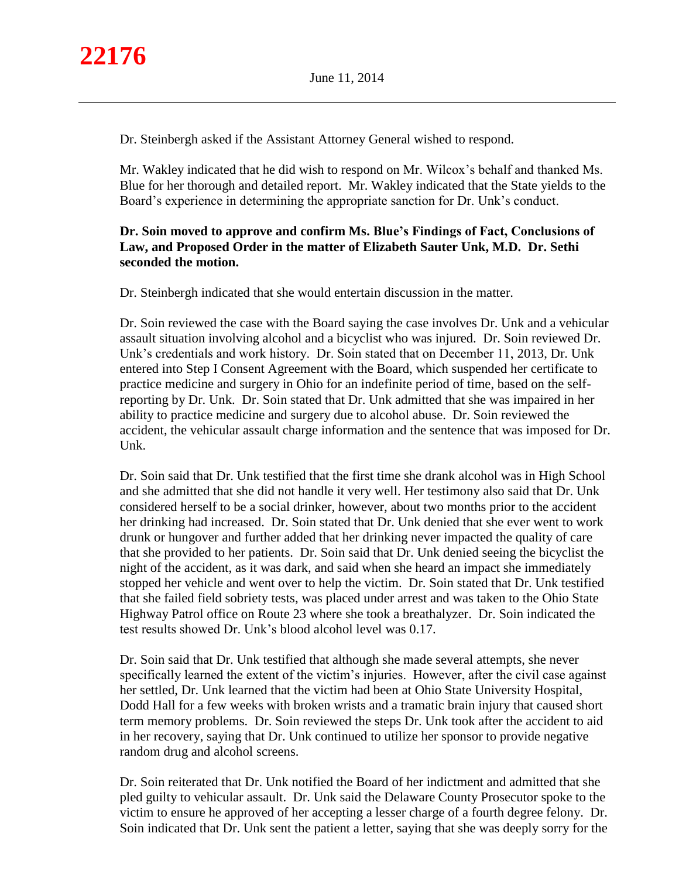Dr. Steinbergh asked if the Assistant Attorney General wished to respond.

Mr. Wakley indicated that he did wish to respond on Mr. Wilcox's behalf and thanked Ms. Blue for her thorough and detailed report. Mr. Wakley indicated that the State yields to the Board's experience in determining the appropriate sanction for Dr. Unk's conduct.

# **Dr. Soin moved to approve and confirm Ms. Blue's Findings of Fact, Conclusions of Law, and Proposed Order in the matter of Elizabeth Sauter Unk, M.D. Dr. Sethi seconded the motion.**

Dr. Steinbergh indicated that she would entertain discussion in the matter.

Dr. Soin reviewed the case with the Board saying the case involves Dr. Unk and a vehicular assault situation involving alcohol and a bicyclist who was injured. Dr. Soin reviewed Dr. Unk's credentials and work history. Dr. Soin stated that on December 11, 2013, Dr. Unk entered into Step I Consent Agreement with the Board, which suspended her certificate to practice medicine and surgery in Ohio for an indefinite period of time, based on the selfreporting by Dr. Unk. Dr. Soin stated that Dr. Unk admitted that she was impaired in her ability to practice medicine and surgery due to alcohol abuse. Dr. Soin reviewed the accident, the vehicular assault charge information and the sentence that was imposed for Dr. Unk.

Dr. Soin said that Dr. Unk testified that the first time she drank alcohol was in High School and she admitted that she did not handle it very well. Her testimony also said that Dr. Unk considered herself to be a social drinker, however, about two months prior to the accident her drinking had increased. Dr. Soin stated that Dr. Unk denied that she ever went to work drunk or hungover and further added that her drinking never impacted the quality of care that she provided to her patients. Dr. Soin said that Dr. Unk denied seeing the bicyclist the night of the accident, as it was dark, and said when she heard an impact she immediately stopped her vehicle and went over to help the victim. Dr. Soin stated that Dr. Unk testified that she failed field sobriety tests, was placed under arrest and was taken to the Ohio State Highway Patrol office on Route 23 where she took a breathalyzer. Dr. Soin indicated the test results showed Dr. Unk's blood alcohol level was 0.17.

Dr. Soin said that Dr. Unk testified that although she made several attempts, she never specifically learned the extent of the victim's injuries. However, after the civil case against her settled, Dr. Unk learned that the victim had been at Ohio State University Hospital, Dodd Hall for a few weeks with broken wrists and a tramatic brain injury that caused short term memory problems. Dr. Soin reviewed the steps Dr. Unk took after the accident to aid in her recovery, saying that Dr. Unk continued to utilize her sponsor to provide negative random drug and alcohol screens.

Dr. Soin reiterated that Dr. Unk notified the Board of her indictment and admitted that she pled guilty to vehicular assault. Dr. Unk said the Delaware County Prosecutor spoke to the victim to ensure he approved of her accepting a lesser charge of a fourth degree felony. Dr. Soin indicated that Dr. Unk sent the patient a letter, saying that she was deeply sorry for the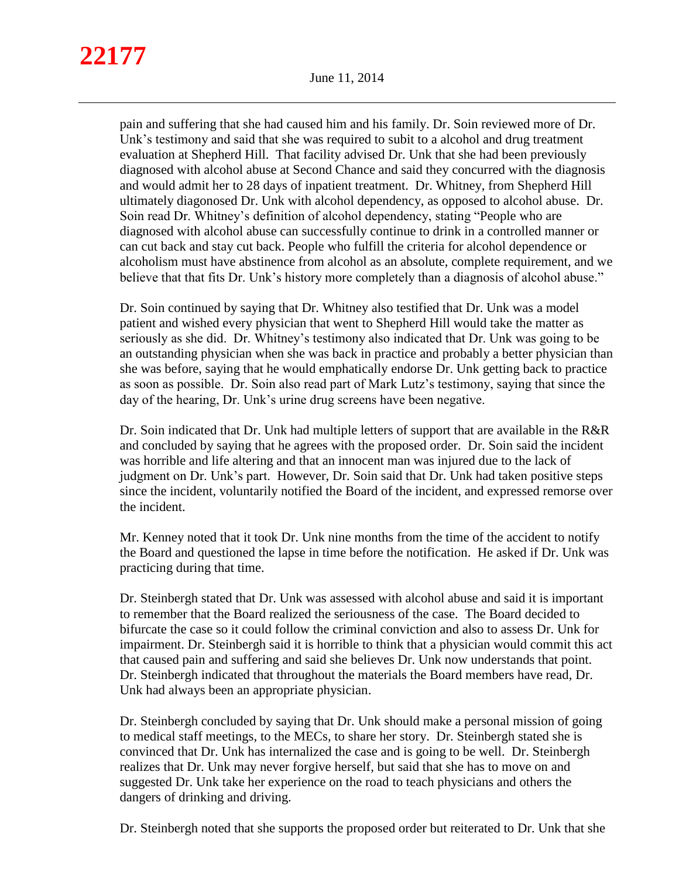pain and suffering that she had caused him and his family. Dr. Soin reviewed more of Dr. Unk's testimony and said that she was required to subit to a alcohol and drug treatment evaluation at Shepherd Hill. That facility advised Dr. Unk that she had been previously diagnosed with alcohol abuse at Second Chance and said they concurred with the diagnosis and would admit her to 28 days of inpatient treatment. Dr. Whitney, from Shepherd Hill ultimately diagonosed Dr. Unk with alcohol dependency, as opposed to alcohol abuse. Dr. Soin read Dr. Whitney's definition of alcohol dependency, stating "People who are diagnosed with alcohol abuse can successfully continue to drink in a controlled manner or can cut back and stay cut back. People who fulfill the criteria for alcohol dependence or alcoholism must have abstinence from alcohol as an absolute, complete requirement, and we believe that that fits Dr. Unk's history more completely than a diagnosis of alcohol abuse."

Dr. Soin continued by saying that Dr. Whitney also testified that Dr. Unk was a model patient and wished every physician that went to Shepherd Hill would take the matter as seriously as she did. Dr. Whitney's testimony also indicated that Dr. Unk was going to be an outstanding physician when she was back in practice and probably a better physician than she was before, saying that he would emphatically endorse Dr. Unk getting back to practice as soon as possible. Dr. Soin also read part of Mark Lutz's testimony, saying that since the day of the hearing, Dr. Unk's urine drug screens have been negative.

Dr. Soin indicated that Dr. Unk had multiple letters of support that are available in the R&R and concluded by saying that he agrees with the proposed order. Dr. Soin said the incident was horrible and life altering and that an innocent man was injured due to the lack of judgment on Dr. Unk's part. However, Dr. Soin said that Dr. Unk had taken positive steps since the incident, voluntarily notified the Board of the incident, and expressed remorse over the incident.

Mr. Kenney noted that it took Dr. Unk nine months from the time of the accident to notify the Board and questioned the lapse in time before the notification. He asked if Dr. Unk was practicing during that time.

Dr. Steinbergh stated that Dr. Unk was assessed with alcohol abuse and said it is important to remember that the Board realized the seriousness of the case. The Board decided to bifurcate the case so it could follow the criminal conviction and also to assess Dr. Unk for impairment. Dr. Steinbergh said it is horrible to think that a physician would commit this act that caused pain and suffering and said she believes Dr. Unk now understands that point. Dr. Steinbergh indicated that throughout the materials the Board members have read, Dr. Unk had always been an appropriate physician.

Dr. Steinbergh concluded by saying that Dr. Unk should make a personal mission of going to medical staff meetings, to the MECs, to share her story. Dr. Steinbergh stated she is convinced that Dr. Unk has internalized the case and is going to be well. Dr. Steinbergh realizes that Dr. Unk may never forgive herself, but said that she has to move on and suggested Dr. Unk take her experience on the road to teach physicians and others the dangers of drinking and driving.

Dr. Steinbergh noted that she supports the proposed order but reiterated to Dr. Unk that she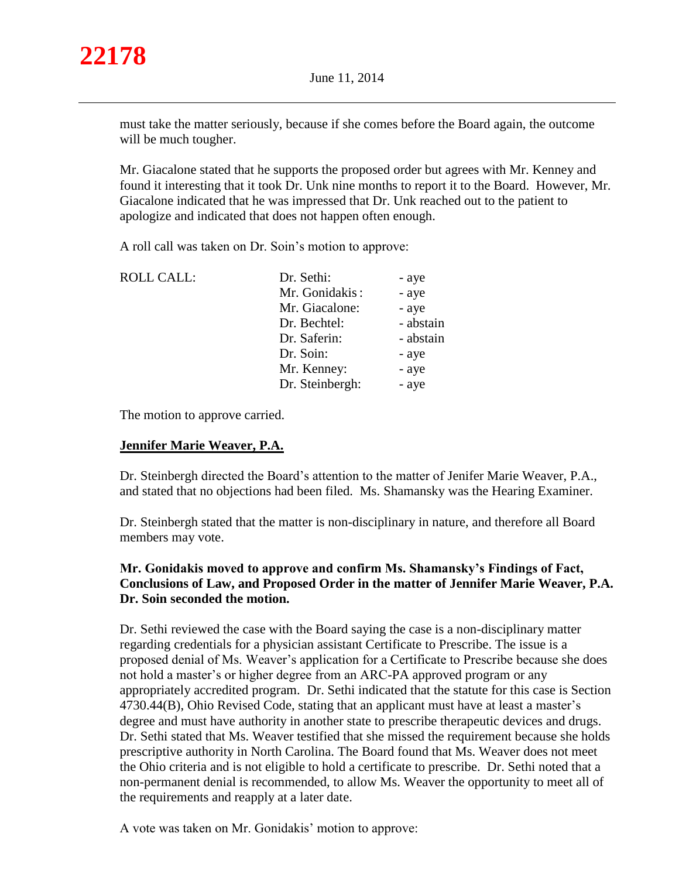

must take the matter seriously, because if she comes before the Board again, the outcome will be much tougher.

Mr. Giacalone stated that he supports the proposed order but agrees with Mr. Kenney and found it interesting that it took Dr. Unk nine months to report it to the Board. However, Mr. Giacalone indicated that he was impressed that Dr. Unk reached out to the patient to apologize and indicated that does not happen often enough.

A roll call was taken on Dr. Soin's motion to approve:

| <b>ROLL CALL:</b> | Dr. Sethi:      | - aye     |
|-------------------|-----------------|-----------|
|                   | Mr. Gonidakis:  | - aye     |
|                   | Mr. Giacalone:  | - aye     |
|                   | Dr. Bechtel:    | - abstain |
|                   | Dr. Saferin:    | - abstain |
|                   | Dr. Soin:       | - aye     |
|                   | Mr. Kenney:     | - aye     |
|                   | Dr. Steinbergh: | - aye     |

The motion to approve carried.

# **Jennifer Marie Weaver, P.A.**

Dr. Steinbergh directed the Board's attention to the matter of Jenifer Marie Weaver, P.A., and stated that no objections had been filed. Ms. Shamansky was the Hearing Examiner.

Dr. Steinbergh stated that the matter is non-disciplinary in nature, and therefore all Board members may vote.

# **Mr. Gonidakis moved to approve and confirm Ms. Shamansky's Findings of Fact, Conclusions of Law, and Proposed Order in the matter of Jennifer Marie Weaver, P.A. Dr. Soin seconded the motion.**

Dr. Sethi reviewed the case with the Board saying the case is a non-disciplinary matter regarding credentials for a physician assistant Certificate to Prescribe. The issue is a proposed denial of Ms. Weaver's application for a Certificate to Prescribe because she does not hold a master's or higher degree from an ARC-PA approved program or any appropriately accredited program. Dr. Sethi indicated that the statute for this case is Section 4730.44(B), Ohio Revised Code, stating that an applicant must have at least a master's degree and must have authority in another state to prescribe therapeutic devices and drugs. Dr. Sethi stated that Ms. Weaver testified that she missed the requirement because she holds prescriptive authority in North Carolina. The Board found that Ms. Weaver does not meet the Ohio criteria and is not eligible to hold a certificate to prescribe. Dr. Sethi noted that a non-permanent denial is recommended, to allow Ms. Weaver the opportunity to meet all of the requirements and reapply at a later date.

A vote was taken on Mr. Gonidakis' motion to approve: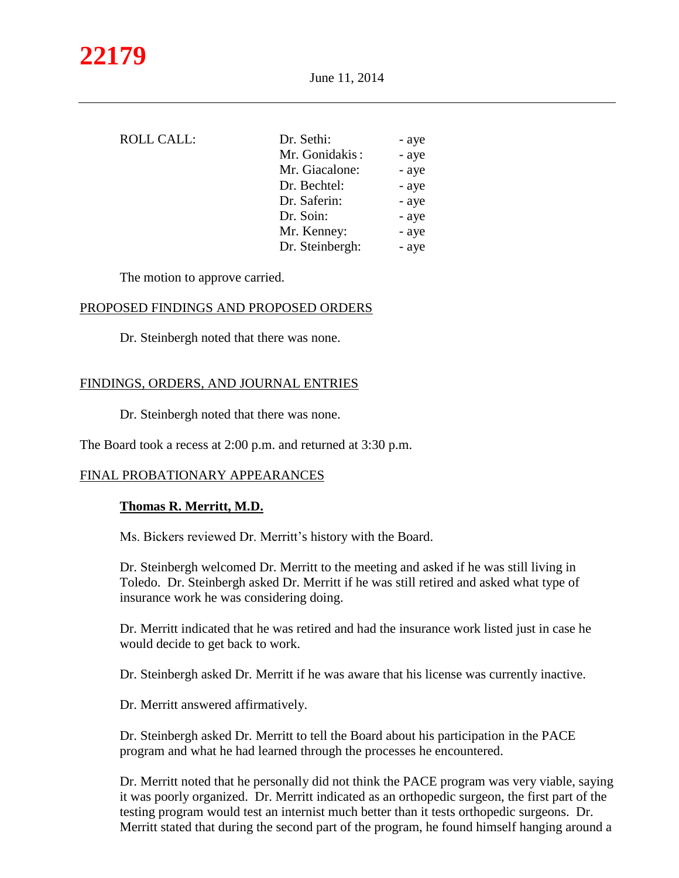| ROLL CALL: | Dr. Sethi:      | - aye |
|------------|-----------------|-------|
|            | Mr. Gonidakis:  | - aye |
|            | Mr. Giacalone:  | - aye |
|            | Dr. Bechtel:    | - aye |
|            | Dr. Saferin:    | - aye |
|            | Dr. Soin:       | - aye |
|            | Mr. Kenney:     | - aye |
|            | Dr. Steinbergh: | - aye |

The motion to approve carried.

#### PROPOSED FINDINGS AND PROPOSED ORDERS

Dr. Steinbergh noted that there was none.

# FINDINGS, ORDERS, AND JOURNAL ENTRIES

Dr. Steinbergh noted that there was none.

The Board took a recess at 2:00 p.m. and returned at 3:30 p.m.

#### FINAL PROBATIONARY APPEARANCES

#### **Thomas R. Merritt, M.D.**

Ms. Bickers reviewed Dr. Merritt's history with the Board.

Dr. Steinbergh welcomed Dr. Merritt to the meeting and asked if he was still living in Toledo. Dr. Steinbergh asked Dr. Merritt if he was still retired and asked what type of insurance work he was considering doing.

Dr. Merritt indicated that he was retired and had the insurance work listed just in case he would decide to get back to work.

Dr. Steinbergh asked Dr. Merritt if he was aware that his license was currently inactive.

Dr. Merritt answered affirmatively.

Dr. Steinbergh asked Dr. Merritt to tell the Board about his participation in the PACE program and what he had learned through the processes he encountered.

Dr. Merritt noted that he personally did not think the PACE program was very viable, saying it was poorly organized. Dr. Merritt indicated as an orthopedic surgeon, the first part of the testing program would test an internist much better than it tests orthopedic surgeons. Dr. Merritt stated that during the second part of the program, he found himself hanging around a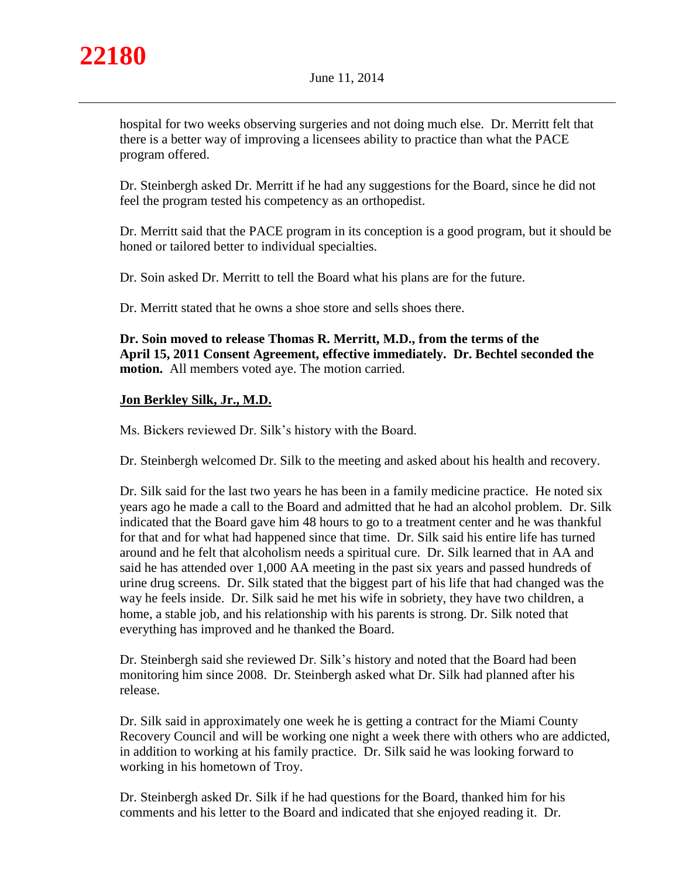

hospital for two weeks observing surgeries and not doing much else. Dr. Merritt felt that there is a better way of improving a licensees ability to practice than what the PACE program offered.

Dr. Steinbergh asked Dr. Merritt if he had any suggestions for the Board, since he did not feel the program tested his competency as an orthopedist.

Dr. Merritt said that the PACE program in its conception is a good program, but it should be honed or tailored better to individual specialties.

Dr. Soin asked Dr. Merritt to tell the Board what his plans are for the future.

Dr. Merritt stated that he owns a shoe store and sells shoes there.

**Dr. Soin moved to release Thomas R. Merritt, M.D., from the terms of the April 15, 2011 Consent Agreement, effective immediately. Dr. Bechtel seconded the motion.** All members voted aye. The motion carried.

# **Jon Berkley Silk, Jr., M.D.**

Ms. Bickers reviewed Dr. Silk's history with the Board.

Dr. Steinbergh welcomed Dr. Silk to the meeting and asked about his health and recovery.

Dr. Silk said for the last two years he has been in a family medicine practice. He noted six years ago he made a call to the Board and admitted that he had an alcohol problem. Dr. Silk indicated that the Board gave him 48 hours to go to a treatment center and he was thankful for that and for what had happened since that time. Dr. Silk said his entire life has turned around and he felt that alcoholism needs a spiritual cure. Dr. Silk learned that in AA and said he has attended over 1,000 AA meeting in the past six years and passed hundreds of urine drug screens. Dr. Silk stated that the biggest part of his life that had changed was the way he feels inside. Dr. Silk said he met his wife in sobriety, they have two children, a home, a stable job, and his relationship with his parents is strong. Dr. Silk noted that everything has improved and he thanked the Board.

Dr. Steinbergh said she reviewed Dr. Silk's history and noted that the Board had been monitoring him since 2008. Dr. Steinbergh asked what Dr. Silk had planned after his release.

Dr. Silk said in approximately one week he is getting a contract for the Miami County Recovery Council and will be working one night a week there with others who are addicted, in addition to working at his family practice. Dr. Silk said he was looking forward to working in his hometown of Troy.

Dr. Steinbergh asked Dr. Silk if he had questions for the Board, thanked him for his comments and his letter to the Board and indicated that she enjoyed reading it. Dr.